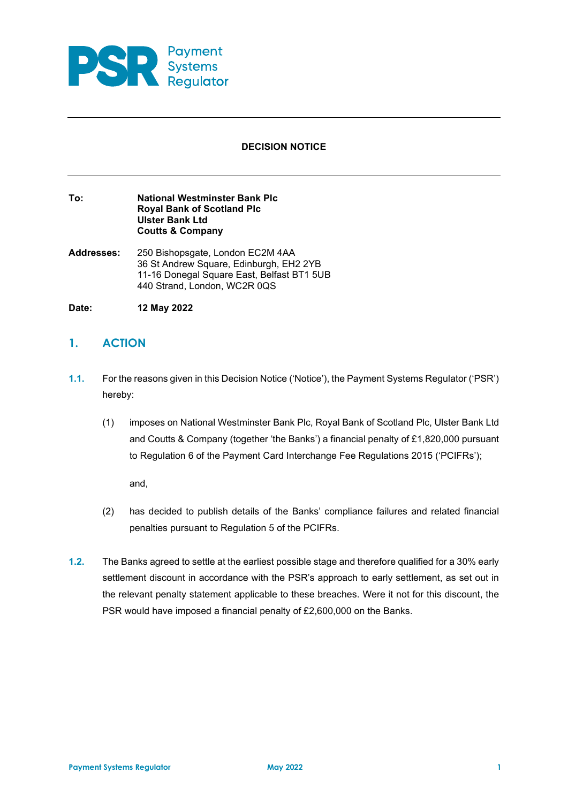

## **DECISION NOTICE**

#### **To: National Westminster Bank Plc Royal Bank of Scotland Plc Ulster Bank Ltd Coutts & Company**

- **Addresses:** 250 Bishopsgate, London EC2M 4AA 36 St Andrew Square, Edinburgh, EH2 2YB 11-16 Donegal Square East, Belfast BT1 5UB 440 Strand, London, WC2R 0QS
- **Date: 12 May 2022**

# **1. ACTION**

- **1.1.** For the reasons given in this Decision Notice ('Notice'), the Payment Systems Regulator ('PSR') hereby:
	- (1) imposes on National Westminster Bank Plc, Royal Bank of Scotland Plc, Ulster Bank Ltd and Coutts & Company (together 'the Banks') a financial penalty of £1,820,000 pursuant to Regulation 6 of the Payment Card Interchange Fee Regulations 2015 ('PCIFRs');

and,

- (2) has decided to publish details of the Banks' compliance failures and related financial penalties pursuant to Regulation 5 of the PCIFRs.
- **1.2.** The Banks agreed to settle at the earliest possible stage and therefore qualified for a 30% early settlement discount in accordance with the PSR's approach to early settlement, as set out in the relevant penalty statement applicable to these breaches. Were it not for this discount, the PSR would have imposed a financial penalty of £2,600,000 on the Banks.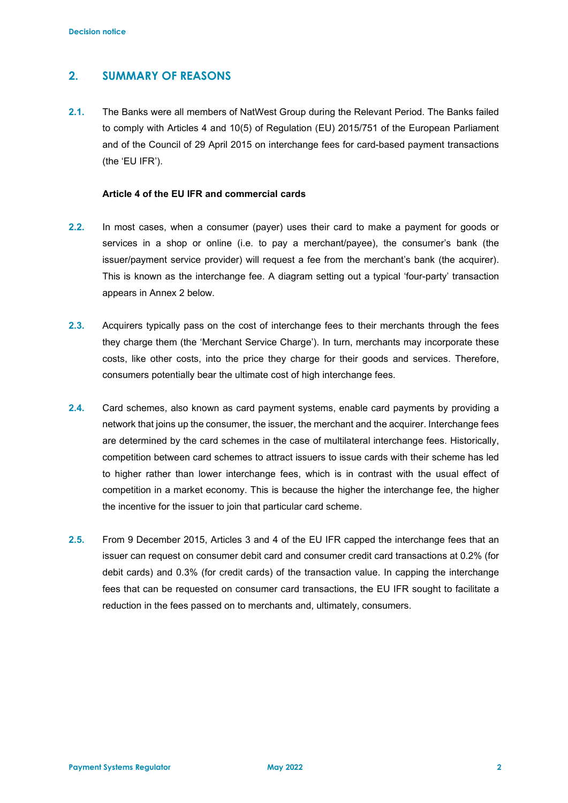## **2. SUMMARY OF REASONS**

**2.1.** The Banks were all members of NatWest Group during the Relevant Period. The Banks failed to comply with Articles 4 and 10(5) of Regulation (EU) 2015/751 of the European Parliament and of the Council of 29 April 2015 on interchange fees for card-based payment transactions (the 'EU IFR').

## **Article 4 of the EU IFR and commercial cards**

- **2.2.** In most cases, when a consumer (payer) uses their card to make a payment for goods or services in a shop or online (i.e. to pay a merchant/payee), the consumer's bank (the issuer/payment service provider) will request a fee from the merchant's bank (the acquirer). This is known as the interchange fee. A diagram setting out a typical 'four-party' transaction appears in Annex 2 below.
- **2.3.** Acquirers typically pass on the cost of interchange fees to their merchants through the fees they charge them (the 'Merchant Service Charge'). In turn, merchants may incorporate these costs, like other costs, into the price they charge for their goods and services. Therefore, consumers potentially bear the ultimate cost of high interchange fees.
- **2.4.** Card schemes, also known as card payment systems, enable card payments by providing a network that joins up the consumer, the issuer, the merchant and the acquirer. Interchange fees are determined by the card schemes in the case of multilateral interchange fees. Historically, competition between card schemes to attract issuers to issue cards with their scheme has led to higher rather than lower interchange fees, which is in contrast with the usual effect of competition in a market economy. This is because the higher the interchange fee, the higher the incentive for the issuer to join that particular card scheme.
- **2.5.** From 9 December 2015, Articles 3 and 4 of the EU IFR capped the interchange fees that an issuer can request on consumer debit card and consumer credit card transactions at 0.2% (for debit cards) and 0.3% (for credit cards) of the transaction value. In capping the interchange fees that can be requested on consumer card transactions, the EU IFR sought to facilitate a reduction in the fees passed on to merchants and, ultimately, consumers.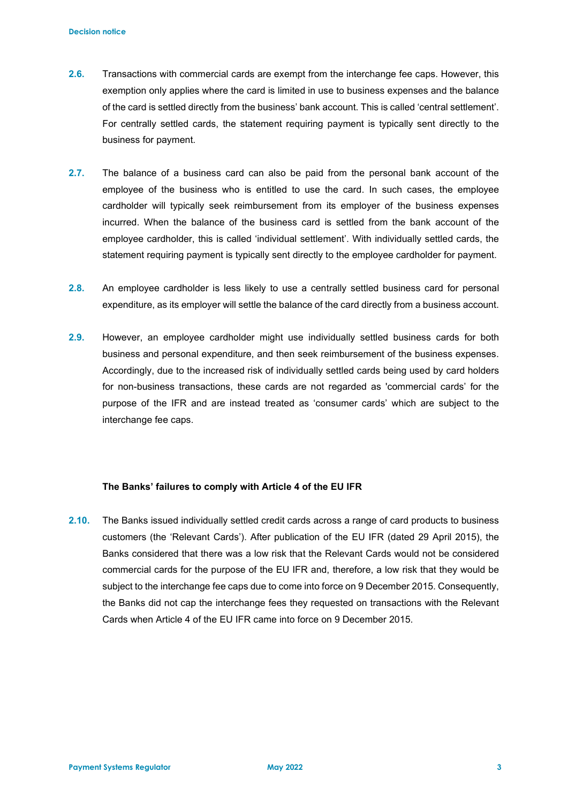- **2.6.** Transactions with commercial cards are exempt from the interchange fee caps. However, this exemption only applies where the card is limited in use to business expenses and the balance of the card is settled directly from the business' bank account. This is called 'central settlement'. For centrally settled cards, the statement requiring payment is typically sent directly to the business for payment.
- **2.7.** The balance of a business card can also be paid from the personal bank account of the employee of the business who is entitled to use the card. In such cases, the employee cardholder will typically seek reimbursement from its employer of the business expenses incurred. When the balance of the business card is settled from the bank account of the employee cardholder, this is called 'individual settlement'. With individually settled cards, the statement requiring payment is typically sent directly to the employee cardholder for payment.
- **2.8.** An employee cardholder is less likely to use a centrally settled business card for personal expenditure, as its employer will settle the balance of the card directly from a business account.
- **2.9.** However, an employee cardholder might use individually settled business cards for both business and personal expenditure, and then seek reimbursement of the business expenses. Accordingly, due to the increased risk of individually settled cards being used by card holders for non-business transactions, these cards are not regarded as 'commercial cards' for the purpose of the IFR and are instead treated as 'consumer cards' which are subject to the interchange fee caps.

#### **The Banks' failures to comply with Article 4 of the EU IFR**

**2.10.** The Banks issued individually settled credit cards across a range of card products to business customers (the 'Relevant Cards'). After publication of the EU IFR (dated 29 April 2015), the Banks considered that there was a low risk that the Relevant Cards would not be considered commercial cards for the purpose of the EU IFR and, therefore, a low risk that they would be subject to the interchange fee caps due to come into force on 9 December 2015. Consequently, the Banks did not cap the interchange fees they requested on transactions with the Relevant Cards when Article 4 of the EU IFR came into force on 9 December 2015.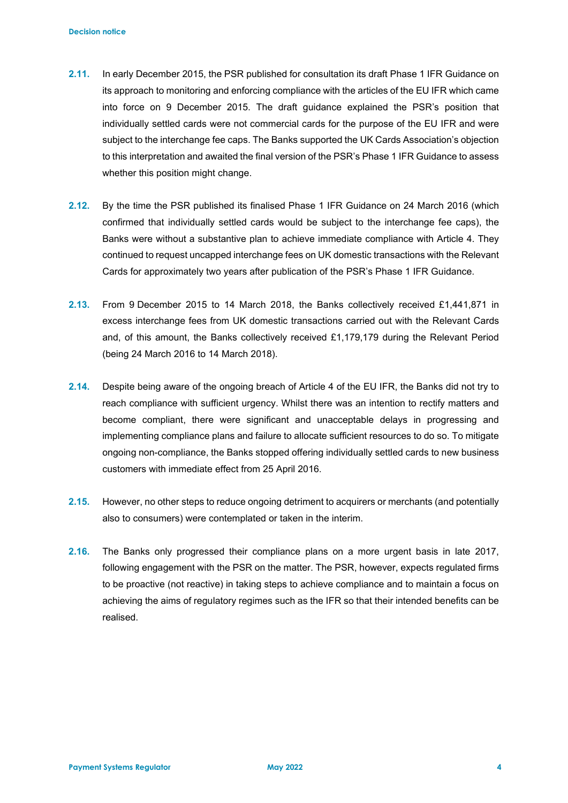- **2.11.** In early December 2015, the PSR published for consultation its draft Phase 1 IFR Guidance on its approach to monitoring and enforcing compliance with the articles of the EU IFR which came into force on 9 December 2015. The draft guidance explained the PSR's position that individually settled cards were not commercial cards for the purpose of the EU IFR and were subject to the interchange fee caps. The Banks supported the UK Cards Association's objection to this interpretation and awaited the final version of the PSR's Phase 1 IFR Guidance to assess whether this position might change.
- **2.12.** By the time the PSR published its finalised Phase 1 IFR Guidance on 24 March 2016 (which confirmed that individually settled cards would be subject to the interchange fee caps), the Banks were without a substantive plan to achieve immediate compliance with Article 4. They continued to request uncapped interchange fees on UK domestic transactions with the Relevant Cards for approximately two years after publication of the PSR's Phase 1 IFR Guidance.
- **2.13.** From 9 December 2015 to 14 March 2018, the Banks collectively received £1,441,871 in excess interchange fees from UK domestic transactions carried out with the Relevant Cards and, of this amount, the Banks collectively received £1,179,179 during the Relevant Period (being 24 March 2016 to 14 March 2018).
- **2.14.** Despite being aware of the ongoing breach of Article 4 of the EU IFR, the Banks did not try to reach compliance with sufficient urgency. Whilst there was an intention to rectify matters and become compliant, there were significant and unacceptable delays in progressing and implementing compliance plans and failure to allocate sufficient resources to do so. To mitigate ongoing non-compliance, the Banks stopped offering individually settled cards to new business customers with immediate effect from 25 April 2016.
- **2.15.** However, no other steps to reduce ongoing detriment to acquirers or merchants (and potentially also to consumers) were contemplated or taken in the interim.
- **2.16.** The Banks only progressed their compliance plans on a more urgent basis in late 2017, following engagement with the PSR on the matter. The PSR, however, expects regulated firms to be proactive (not reactive) in taking steps to achieve compliance and to maintain a focus on achieving the aims of regulatory regimes such as the IFR so that their intended benefits can be realised.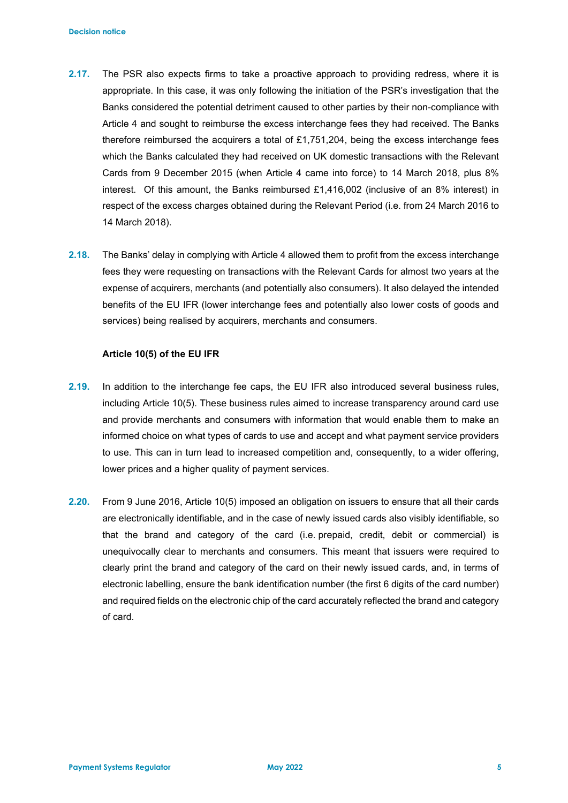- **2.17.** The PSR also expects firms to take a proactive approach to providing redress, where it is appropriate. In this case, it was only following the initiation of the PSR's investigation that the Banks considered the potential detriment caused to other parties by their non-compliance with Article 4 and sought to reimburse the excess interchange fees they had received. The Banks therefore reimbursed the acquirers a total of £1,751,204, being the excess interchange fees which the Banks calculated they had received on UK domestic transactions with the Relevant Cards from 9 December 2015 (when Article 4 came into force) to 14 March 2018, plus 8% interest. Of this amount, the Banks reimbursed £1,416,002 (inclusive of an 8% interest) in respect of the excess charges obtained during the Relevant Period (i.e. from 24 March 2016 to 14 March 2018).
- **2.18.** The Banks' delay in complying with Article 4 allowed them to profit from the excess interchange fees they were requesting on transactions with the Relevant Cards for almost two years at the expense of acquirers, merchants (and potentially also consumers). It also delayed the intended benefits of the EU IFR (lower interchange fees and potentially also lower costs of goods and services) being realised by acquirers, merchants and consumers.

#### **Article 10(5) of the EU IFR**

- **2.19.** In addition to the interchange fee caps, the EU IFR also introduced several business rules, including Article 10(5). These business rules aimed to increase transparency around card use and provide merchants and consumers with information that would enable them to make an informed choice on what types of cards to use and accept and what payment service providers to use. This can in turn lead to increased competition and, consequently, to a wider offering, lower prices and a higher quality of payment services.
- **2.20.** From 9 June 2016, Article 10(5) imposed an obligation on issuers to ensure that all their cards are electronically identifiable, and in the case of newly issued cards also visibly identifiable, so that the brand and category of the card (i.e. prepaid, credit, debit or commercial) is unequivocally clear to merchants and consumers. This meant that issuers were required to clearly print the brand and category of the card on their newly issued cards, and, in terms of electronic labelling, ensure the bank identification number (the first 6 digits of the card number) and required fields on the electronic chip of the card accurately reflected the brand and category of card.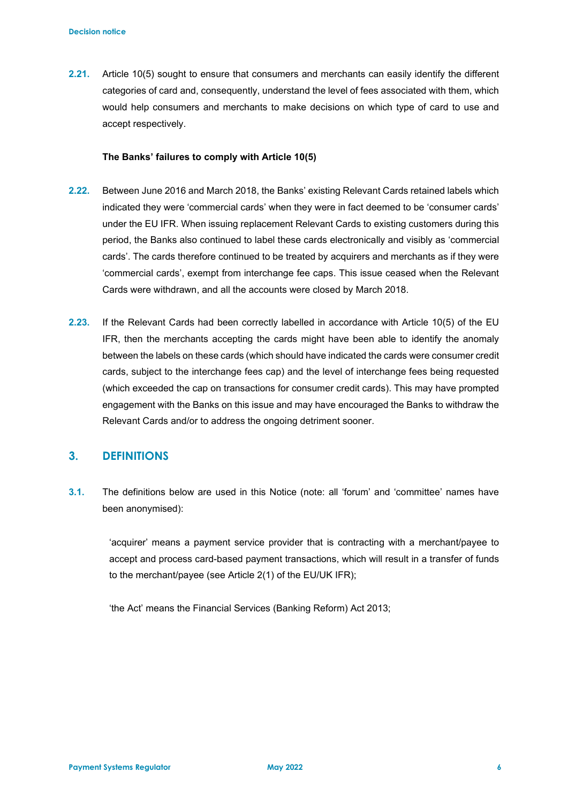**2.21.** Article 10(5) sought to ensure that consumers and merchants can easily identify the different categories of card and, consequently, understand the level of fees associated with them, which would help consumers and merchants to make decisions on which type of card to use and accept respectively.

#### **The Banks' failures to comply with Article 10(5)**

- **2.22.** Between June 2016 and March 2018, the Banks' existing Relevant Cards retained labels which indicated they were 'commercial cards' when they were in fact deemed to be 'consumer cards' under the EU IFR. When issuing replacement Relevant Cards to existing customers during this period, the Banks also continued to label these cards electronically and visibly as 'commercial cards'. The cards therefore continued to be treated by acquirers and merchants as if they were 'commercial cards', exempt from interchange fee caps. This issue ceased when the Relevant Cards were withdrawn, and all the accounts were closed by March 2018.
- **2.23.** If the Relevant Cards had been correctly labelled in accordance with Article 10(5) of the EU IFR, then the merchants accepting the cards might have been able to identify the anomaly between the labels on these cards (which should have indicated the cards were consumer credit cards, subject to the interchange fees cap) and the level of interchange fees being requested (which exceeded the cap on transactions for consumer credit cards). This may have prompted engagement with the Banks on this issue and may have encouraged the Banks to withdraw the Relevant Cards and/or to address the ongoing detriment sooner.

## **3. DEFINITIONS**

**3.1.** The definitions below are used in this Notice (note: all 'forum' and 'committee' names have been anonymised):

'acquirer' means a payment service provider that is contracting with a merchant/payee to accept and process card-based payment transactions, which will result in a transfer of funds to the merchant/payee (see Article 2(1) of the EU/UK IFR);

'the Act' means the Financial Services (Banking Reform) Act 2013;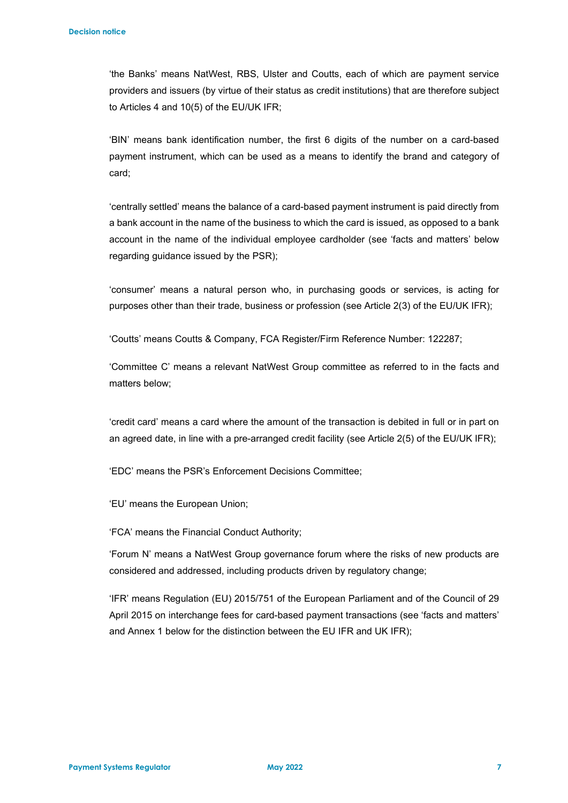'the Banks' means NatWest, RBS, Ulster and Coutts, each of which are payment service providers and issuers (by virtue of their status as credit institutions) that are therefore subject to Articles 4 and 10(5) of the EU/UK IFR;

'BIN' means bank identification number, the first 6 digits of the number on a card-based payment instrument, which can be used as a means to identify the brand and category of card;

'centrally settled' means the balance of a card-based payment instrument is paid directly from a bank account in the name of the business to which the card is issued, as opposed to a bank account in the name of the individual employee cardholder (see 'facts and matters' below regarding guidance issued by the PSR);

'consumer' means a natural person who, in purchasing goods or services, is acting for purposes other than their trade, business or profession (see Article 2(3) of the EU/UK IFR);

'Coutts' means Coutts & Company, FCA Register/Firm Reference Number: 122287;

'Committee C' means a relevant NatWest Group committee as referred to in the facts and matters below;

'credit card' means a card where the amount of the transaction is debited in full or in part on an agreed date, in line with a pre-arranged credit facility (see Article 2(5) of the EU/UK IFR);

'EDC' means the PSR's Enforcement Decisions Committee;

'EU' means the European Union;

'FCA' means the Financial Conduct Authority;

'Forum N' means a NatWest Group governance forum where the risks of new products are considered and addressed, including products driven by regulatory change;

'IFR' means Regulation (EU) 2015/751 of the European Parliament and of the Council of 29 April 2015 on interchange fees for card-based payment transactions (see 'facts and matters' and Annex 1 below for the distinction between the EU IFR and UK IFR);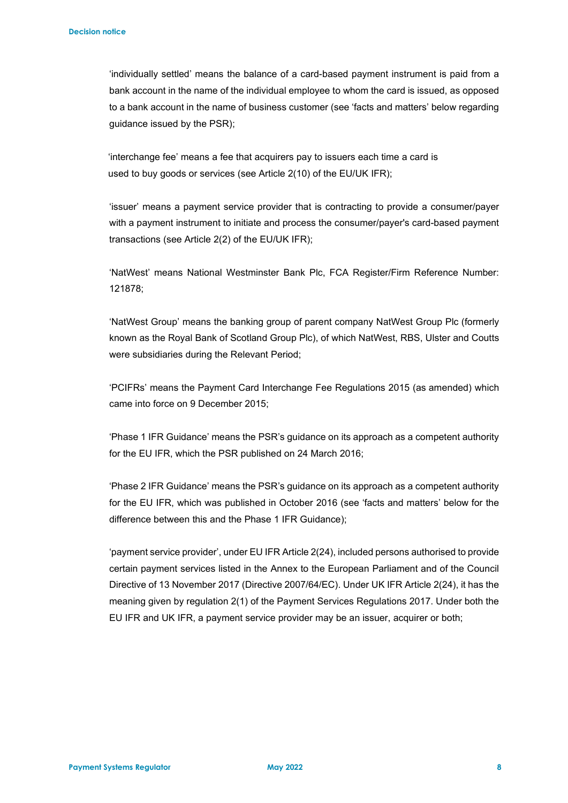'individually settled' means the balance of a card-based payment instrument is paid from a bank account in the name of the individual employee to whom the card is issued, as opposed to a bank account in the name of business customer (see 'facts and matters' below regarding guidance issued by the PSR);

 'interchange fee' means a fee that acquirers pay to issuers each time a card is used to buy goods or services (see Article 2(10) of the EU/UK IFR);

'issuer' means a payment service provider that is contracting to provide a consumer/payer with a payment instrument to initiate and process the consumer/payer's card-based payment transactions (see Article 2(2) of the EU/UK IFR);

'NatWest' means National Westminster Bank Plc, FCA Register/Firm Reference Number: 121878;

'NatWest Group' means the banking group of parent company NatWest Group Plc (formerly known as the Royal Bank of Scotland Group Plc), of which NatWest, RBS, Ulster and Coutts were subsidiaries during the Relevant Period;

'PCIFRs' means the Payment Card Interchange Fee Regulations 2015 (as amended) which came into force on 9 December 2015;

'Phase 1 IFR Guidance' means the PSR's guidance on its approach as a competent authority for the EU IFR, which the PSR published on 24 March 2016;

'Phase 2 IFR Guidance' means the PSR's guidance on its approach as a competent authority for the EU IFR, which was published in October 2016 (see 'facts and matters' below for the difference between this and the Phase 1 IFR Guidance);

'payment service provider', under EU IFR Article 2(24), included persons authorised to provide certain payment services listed in the Annex to the European Parliament and of the Council Directive of 13 November 2017 (Directive 2007/64/EC). Under UK IFR Article 2(24), it has the meaning given by regulation 2(1) of the Payment Services Regulations 2017. Under both the EU IFR and UK IFR, a payment service provider may be an issuer, acquirer or both;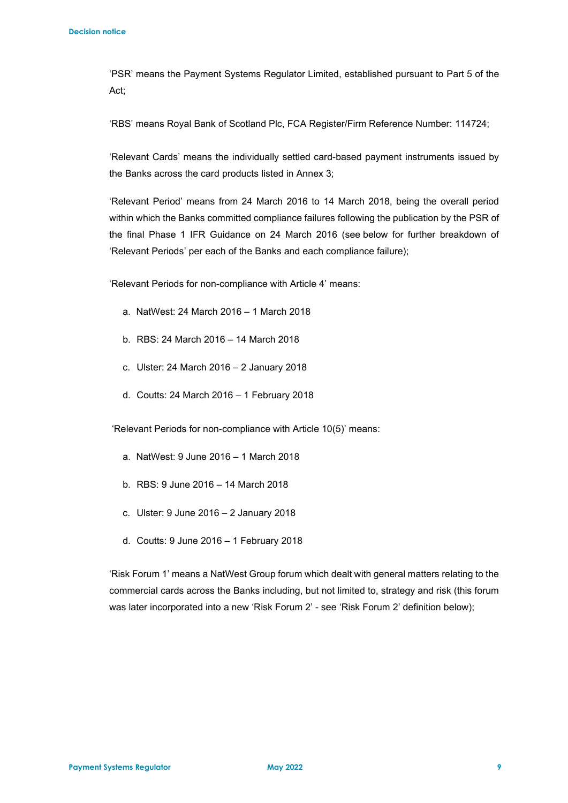'PSR' means the Payment Systems Regulator Limited, established pursuant to Part 5 of the Act;

'RBS' means Royal Bank of Scotland Plc, FCA Register/Firm Reference Number: 114724;

'Relevant Cards' means the individually settled card-based payment instruments issued by the Banks across the card products listed in Annex 3;

'Relevant Period' means from 24 March 2016 to 14 March 2018, being the overall period within which the Banks committed compliance failures following the publication by the PSR of the final Phase 1 IFR Guidance on 24 March 2016 (see below for further breakdown of 'Relevant Periods' per each of the Banks and each compliance failure);

'Relevant Periods for non-compliance with Article 4' means:

- a. NatWest: 24 March 2016 1 March 2018
- b. RBS: 24 March 2016 14 March 2018
- c. Ulster: 24 March 2016 2 January 2018
- d. Coutts: 24 March 2016 1 February 2018

'Relevant Periods for non-compliance with Article 10(5)' means:

- a. NatWest: 9 June 2016 1 March 2018
- b. RBS: 9 June 2016 14 March 2018
- c. Ulster: 9 June 2016 2 January 2018
- d. Coutts: 9 June 2016 1 February 2018

'Risk Forum 1' means a NatWest Group forum which dealt with general matters relating to the commercial cards across the Banks including, but not limited to, strategy and risk (this forum was later incorporated into a new 'Risk Forum 2' - see 'Risk Forum 2' definition below);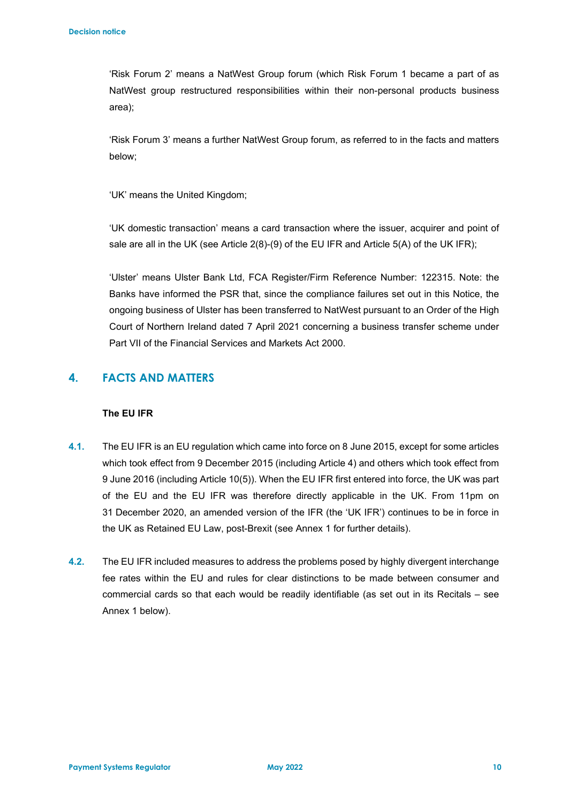'Risk Forum 2' means a NatWest Group forum (which Risk Forum 1 became a part of as NatWest group restructured responsibilities within their non-personal products business area);

'Risk Forum 3' means a further NatWest Group forum, as referred to in the facts and matters below;

'UK' means the United Kingdom;

'UK domestic transaction' means a card transaction where the issuer, acquirer and point of sale are all in the UK (see Article 2(8)-(9) of the EU IFR and Article 5(A) of the UK IFR);

'Ulster' means Ulster Bank Ltd, FCA Register/Firm Reference Number: 122315. Note: the Banks have informed the PSR that, since the compliance failures set out in this Notice, the ongoing business of Ulster has been transferred to NatWest pursuant to an Order of the High Court of Northern Ireland dated 7 April 2021 concerning a business transfer scheme under Part VII of the Financial Services and Markets Act 2000.

# **4. FACTS AND MATTERS**

### **The EU IFR**

- **4.1.** The EU IFR is an EU regulation which came into force on 8 June 2015, except for some articles which took effect from 9 December 2015 (including Article 4) and others which took effect from 9 June 2016 (including Article 10(5)). When the EU IFR first entered into force, the UK was part of the EU and the EU IFR was therefore directly applicable in the UK. From 11pm on 31 December 2020, an amended version of the IFR (the 'UK IFR') continues to be in force in the UK as Retained EU Law, post-Brexit (see Annex 1 for further details).
- **4.2.** The EU IFR included measures to address the problems posed by highly divergent interchange fee rates within the EU and rules for clear distinctions to be made between consumer and commercial cards so that each would be readily identifiable (as set out in its Recitals – see Annex 1 below).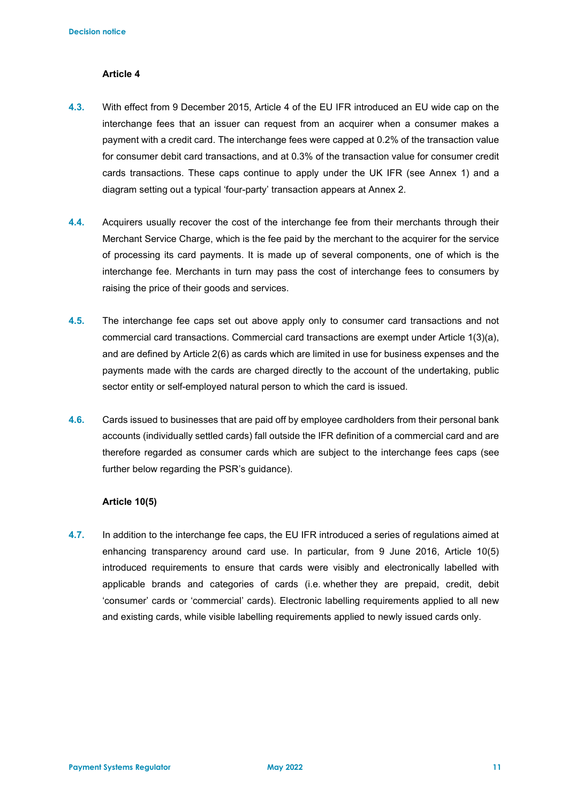### **Article 4**

- **4.3.** With effect from 9 December 2015, Article 4 of the EU IFR introduced an EU wide cap on the interchange fees that an issuer can request from an acquirer when a consumer makes a payment with a credit card. The interchange fees were capped at 0.2% of the transaction value for consumer debit card transactions, and at 0.3% of the transaction value for consumer credit cards transactions. These caps continue to apply under the UK IFR (see Annex 1) and a diagram setting out a typical 'four-party' transaction appears at Annex 2.
- **4.4.** Acquirers usually recover the cost of the interchange fee from their merchants through their Merchant Service Charge, which is the fee paid by the merchant to the acquirer for the service of processing its card payments. It is made up of several components, one of which is the interchange fee. Merchants in turn may pass the cost of interchange fees to consumers by raising the price of their goods and services.
- **4.5.** The interchange fee caps set out above apply only to consumer card transactions and not commercial card transactions. Commercial card transactions are exempt under Article 1(3)(a), and are defined by Article 2(6) as cards which are limited in use for business expenses and the payments made with the cards are charged directly to the account of the undertaking, public sector entity or self-employed natural person to which the card is issued.
- **4.6.** Cards issued to businesses that are paid off by employee cardholders from their personal bank accounts (individually settled cards) fall outside the IFR definition of a commercial card and are therefore regarded as consumer cards which are subject to the interchange fees caps (see further below regarding the PSR's guidance).

#### **Article 10(5)**

**4.7.** In addition to the interchange fee caps, the EU IFR introduced a series of regulations aimed at enhancing transparency around card use. In particular, from 9 June 2016, Article 10(5) introduced requirements to ensure that cards were visibly and electronically labelled with applicable brands and categories of cards (i.e. whether they are prepaid, credit, debit 'consumer' cards or 'commercial' cards). Electronic labelling requirements applied to all new and existing cards, while visible labelling requirements applied to newly issued cards only.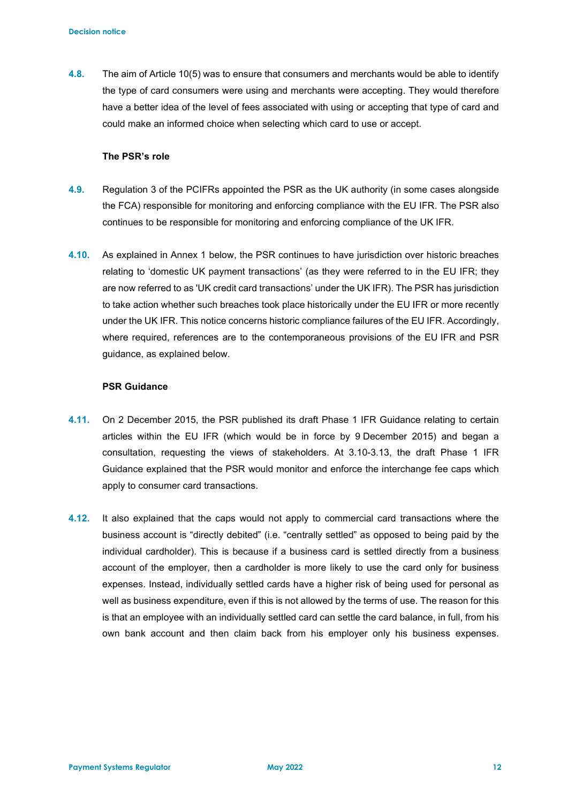**4.8.** The aim of Article 10(5) was to ensure that consumers and merchants would be able to identify the type of card consumers were using and merchants were accepting. They would therefore have a better idea of the level of fees associated with using or accepting that type of card and could make an informed choice when selecting which card to use or accept.

#### **The PSR's role**

- **4.9.** Regulation 3 of the PCIFRs appointed the PSR as the UK authority (in some cases alongside the FCA) responsible for monitoring and enforcing compliance with the EU IFR. The PSR also continues to be responsible for monitoring and enforcing compliance of the UK IFR.
- **4.10.** As explained in Annex 1 below, the PSR continues to have jurisdiction over historic breaches relating to 'domestic UK payment transactions' (as they were referred to in the EU IFR; they are now referred to as 'UK credit card transactions' under the UK IFR). The PSR has jurisdiction to take action whether such breaches took place historically under the EU IFR or more recently under the UK IFR. This notice concerns historic compliance failures of the EU IFR. Accordingly, where required, references are to the contemporaneous provisions of the EU IFR and PSR guidance, as explained below.

### **PSR Guidance**

- **4.11.** On 2 December 2015, the PSR published its draft Phase 1 IFR Guidance relating to certain articles within the EU IFR (which would be in force by 9 December 2015) and began a consultation, requesting the views of stakeholders. At 3.10-3.13, the draft Phase 1 IFR Guidance explained that the PSR would monitor and enforce the interchange fee caps which apply to consumer card transactions.
- **4.12.** It also explained that the caps would not apply to commercial card transactions where the business account is "directly debited" (i.e. "centrally settled" as opposed to being paid by the individual cardholder). This is because if a business card is settled directly from a business account of the employer, then a cardholder is more likely to use the card only for business expenses. Instead, individually settled cards have a higher risk of being used for personal as well as business expenditure, even if this is not allowed by the terms of use. The reason for this is that an employee with an individually settled card can settle the card balance, in full, from his own bank account and then claim back from his employer only his business expenses.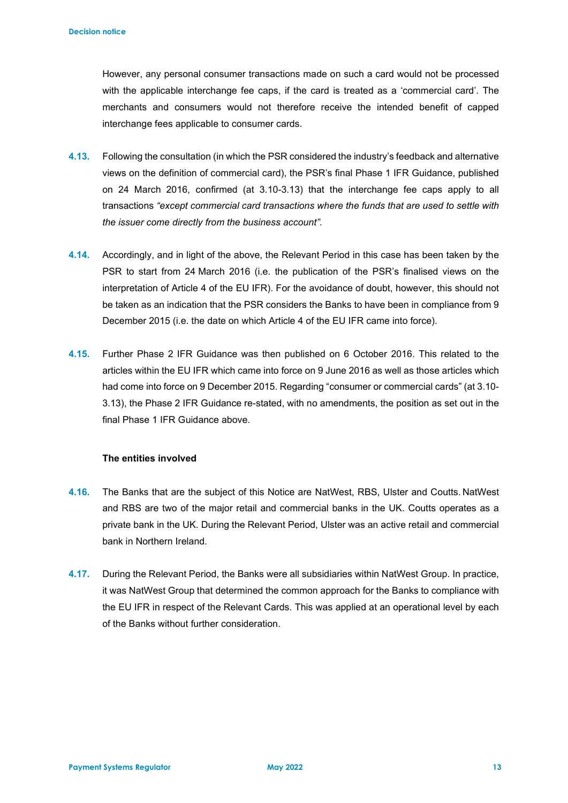However, any personal consumer transactions made on such a card would not be processed with the applicable interchange fee caps, if the card is treated as a 'commercial card'. The merchants and consumers would not therefore receive the intended benefit of capped interchange fees applicable to consumer cards.

- **4.13.** Following the consultation (in which the PSR considered the industry's feedback and alternative views on the definition of commercial card), the PSR's final Phase 1 IFR Guidance, published on 24 March 2016, confirmed (at 3.10-3.13) that the interchange fee caps apply to all transactions *"except commercial card transactions where the funds that are used to settle with the issuer come directly from the business account".*
- **4.14.** Accordingly, and in light of the above, the Relevant Period in this case has been taken by the PSR to start from 24 March 2016 (i.e. the publication of the PSR's finalised views on the interpretation of Article 4 of the EU IFR). For the avoidance of doubt, however, this should not be taken as an indication that the PSR considers the Banks to have been in compliance from 9 December 2015 (i.e. the date on which Article 4 of the EU IFR came into force).
- **4.15.** Further Phase 2 IFR Guidance was then published on 6 October 2016. This related to the articles within the EU IFR which came into force on 9 June 2016 as well as those articles which had come into force on 9 December 2015. Regarding "consumer or commercial cards" (at 3.10- 3.13), the Phase 2 IFR Guidance re-stated, with no amendments, the position as set out in the final Phase 1 IFR Guidance above.

### **The entities involved**

- **4.16.** The Banks that are the subject of this Notice are NatWest, RBS, Ulster and Coutts. NatWest and RBS are two of the major retail and commercial banks in the UK. Coutts operates as a private bank in the UK. During the Relevant Period, Ulster was an active retail and commercial bank in Northern Ireland.
- **4.17.** During the Relevant Period, the Banks were all subsidiaries within NatWest Group. In practice, it was NatWest Group that determined the common approach for the Banks to compliance with the EU IFR in respect of the Relevant Cards. This was applied at an operational level by each of the Banks without further consideration.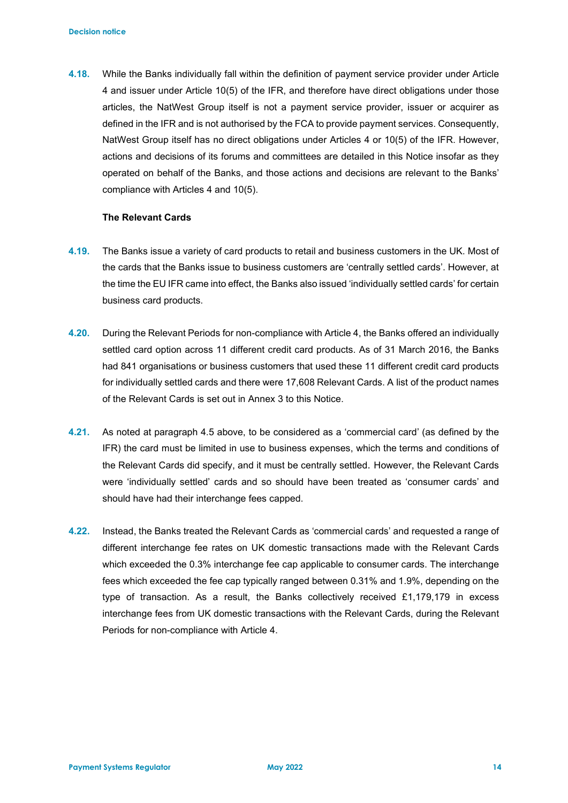**4.18.** While the Banks individually fall within the definition of payment service provider under Article 4 and issuer under Article 10(5) of the IFR, and therefore have direct obligations under those articles, the NatWest Group itself is not a payment service provider, issuer or acquirer as defined in the IFR and is not authorised by the FCA to provide payment services. Consequently, NatWest Group itself has no direct obligations under Articles 4 or 10(5) of the IFR. However, actions and decisions of its forums and committees are detailed in this Notice insofar as they operated on behalf of the Banks, and those actions and decisions are relevant to the Banks' compliance with Articles 4 and 10(5).

### **The Relevant Cards**

- **4.19.** The Banks issue a variety of card products to retail and business customers in the UK. Most of the cards that the Banks issue to business customers are 'centrally settled cards'. However, at the time the EU IFR came into effect, the Banks also issued 'individually settled cards' for certain business card products.
- **4.20.** During the Relevant Periods for non-compliance with Article 4, the Banks offered an individually settled card option across 11 different credit card products. As of 31 March 2016, the Banks had 841 organisations or business customers that used these 11 different credit card products for individually settled cards and there were 17,608 Relevant Cards. A list of the product names of the Relevant Cards is set out in Annex 3 to this Notice.
- **4.21.** As noted at paragraph 4.5 above, to be considered as a 'commercial card' (as defined by the IFR) the card must be limited in use to business expenses, which the terms and conditions of the Relevant Cards did specify, and it must be centrally settled. However, the Relevant Cards were 'individually settled' cards and so should have been treated as 'consumer cards' and should have had their interchange fees capped.
- **4.22.** Instead, the Banks treated the Relevant Cards as 'commercial cards' and requested a range of different interchange fee rates on UK domestic transactions made with the Relevant Cards which exceeded the 0.3% interchange fee cap applicable to consumer cards. The interchange fees which exceeded the fee cap typically ranged between 0.31% and 1.9%, depending on the type of transaction. As a result, the Banks collectively received £1,179,179 in excess interchange fees from UK domestic transactions with the Relevant Cards, during the Relevant Periods for non-compliance with Article 4.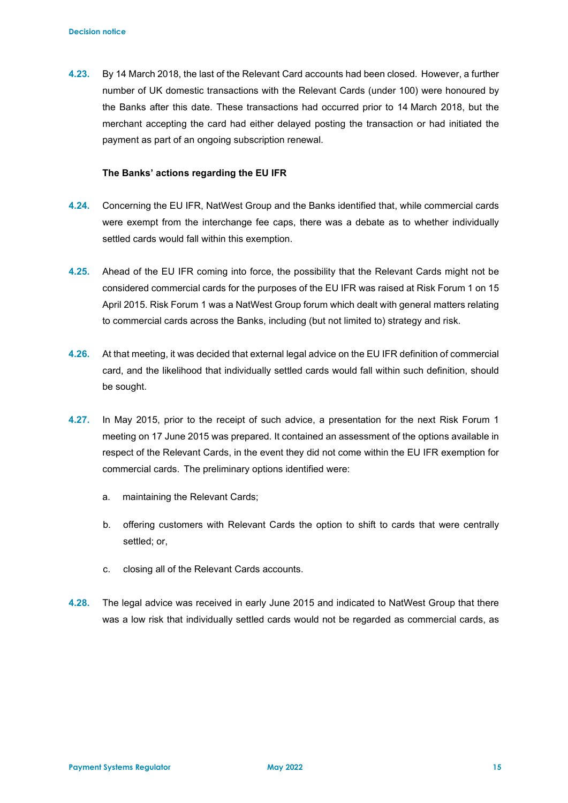**4.23.** By 14 March 2018, the last of the Relevant Card accounts had been closed. However, a further number of UK domestic transactions with the Relevant Cards (under 100) were honoured by the Banks after this date. These transactions had occurred prior to 14 March 2018, but the merchant accepting the card had either delayed posting the transaction or had initiated the payment as part of an ongoing subscription renewal.

#### **The Banks' actions regarding the EU IFR**

- **4.24.** Concerning the EU IFR, NatWest Group and the Banks identified that, while commercial cards were exempt from the interchange fee caps, there was a debate as to whether individually settled cards would fall within this exemption.
- **4.25.** Ahead of the EU IFR coming into force, the possibility that the Relevant Cards might not be considered commercial cards for the purposes of the EU IFR was raised at Risk Forum 1 on 15 April 2015. Risk Forum 1 was a NatWest Group forum which dealt with general matters relating to commercial cards across the Banks, including (but not limited to) strategy and risk.
- **4.26.** At that meeting, it was decided that external legal advice on the EU IFR definition of commercial card, and the likelihood that individually settled cards would fall within such definition, should be sought.
- **4.27.** In May 2015, prior to the receipt of such advice, a presentation for the next Risk Forum 1 meeting on 17 June 2015 was prepared. It contained an assessment of the options available in respect of the Relevant Cards, in the event they did not come within the EU IFR exemption for commercial cards. The preliminary options identified were:
	- a. maintaining the Relevant Cards;
	- b. offering customers with Relevant Cards the option to shift to cards that were centrally settled; or,
	- c. closing all of the Relevant Cards accounts.
- **4.28.** The legal advice was received in early June 2015 and indicated to NatWest Group that there was a low risk that individually settled cards would not be regarded as commercial cards, as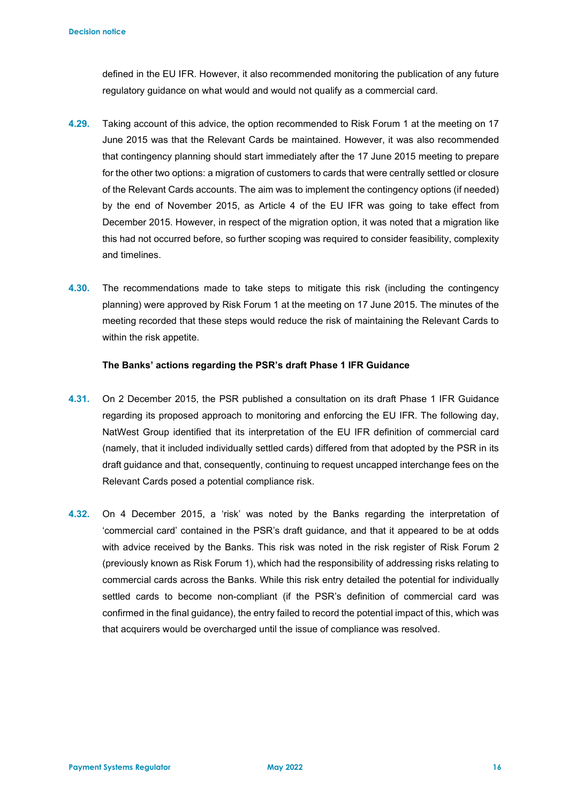defined in the EU IFR. However, it also recommended monitoring the publication of any future regulatory guidance on what would and would not qualify as a commercial card.

- **4.29.** Taking account of this advice, the option recommended to Risk Forum 1 at the meeting on 17 June 2015 was that the Relevant Cards be maintained. However, it was also recommended that contingency planning should start immediately after the 17 June 2015 meeting to prepare for the other two options: a migration of customers to cards that were centrally settled or closure of the Relevant Cards accounts. The aim was to implement the contingency options (if needed) by the end of November 2015, as Article 4 of the EU IFR was going to take effect from December 2015. However, in respect of the migration option, it was noted that a migration like this had not occurred before, so further scoping was required to consider feasibility, complexity and timelines.
- **4.30.** The recommendations made to take steps to mitigate this risk (including the contingency planning) were approved by Risk Forum 1 at the meeting on 17 June 2015. The minutes of the meeting recorded that these steps would reduce the risk of maintaining the Relevant Cards to within the risk appetite.

#### **The Banks' actions regarding the PSR's draft Phase 1 IFR Guidance**

- **4.31.** On 2 December 2015, the PSR published a consultation on its draft Phase 1 IFR Guidance regarding its proposed approach to monitoring and enforcing the EU IFR. The following day, NatWest Group identified that its interpretation of the EU IFR definition of commercial card (namely, that it included individually settled cards) differed from that adopted by the PSR in its draft guidance and that, consequently, continuing to request uncapped interchange fees on the Relevant Cards posed a potential compliance risk.
- **4.32.** On 4 December 2015, a 'risk' was noted by the Banks regarding the interpretation of 'commercial card' contained in the PSR's draft guidance, and that it appeared to be at odds with advice received by the Banks. This risk was noted in the risk register of Risk Forum 2 (previously known as Risk Forum 1), which had the responsibility of addressing risks relating to commercial cards across the Banks. While this risk entry detailed the potential for individually settled cards to become non-compliant (if the PSR's definition of commercial card was confirmed in the final guidance), the entry failed to record the potential impact of this, which was that acquirers would be overcharged until the issue of compliance was resolved.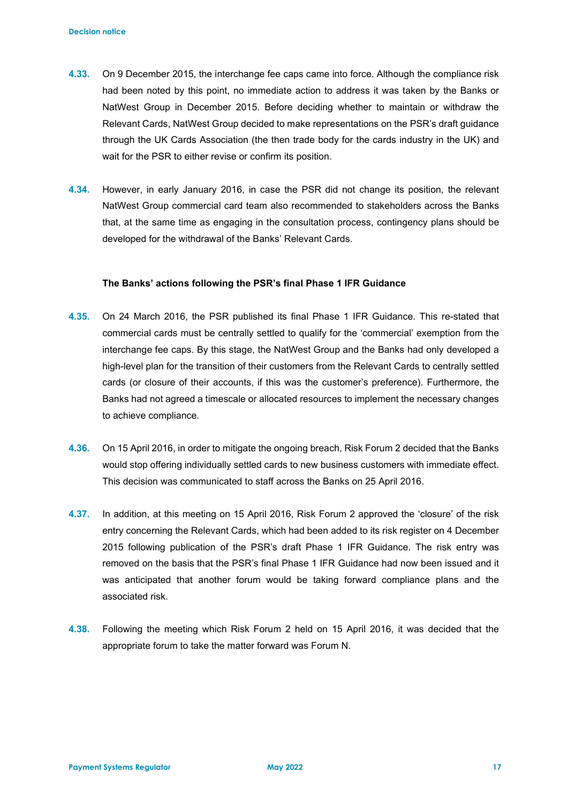- **4.33.** On 9 December 2015, the interchange fee caps came into force. Although the compliance risk had been noted by this point, no immediate action to address it was taken by the Banks or NatWest Group in December 2015. Before deciding whether to maintain or withdraw the Relevant Cards, NatWest Group decided to make representations on the PSR's draft guidance through the UK Cards Association (the then trade body for the cards industry in the UK) and wait for the PSR to either revise or confirm its position.
- **4.34.** However, in early January 2016, in case the PSR did not change its position, the relevant NatWest Group commercial card team also recommended to stakeholders across the Banks that, at the same time as engaging in the consultation process, contingency plans should be developed for the withdrawal of the Banks' Relevant Cards.

#### **The Banks' actions following the PSR's final Phase 1 IFR Guidance**

- **4.35.** On 24 March 2016, the PSR published its final Phase 1 IFR Guidance. This re-stated that commercial cards must be centrally settled to qualify for the 'commercial' exemption from the interchange fee caps. By this stage, the NatWest Group and the Banks had only developed a high-level plan for the transition of their customers from the Relevant Cards to centrally settled cards (or closure of their accounts, if this was the customer's preference). Furthermore, the Banks had not agreed a timescale or allocated resources to implement the necessary changes to achieve compliance.
- **4.36.** On 15 April 2016, in order to mitigate the ongoing breach, Risk Forum 2 decided that the Banks would stop offering individually settled cards to new business customers with immediate effect. This decision was communicated to staff across the Banks on 25 April 2016.
- **4.37.** In addition, at this meeting on 15 April 2016, Risk Forum 2 approved the 'closure' of the risk entry concerning the Relevant Cards, which had been added to its risk register on 4 December 2015 following publication of the PSR's draft Phase 1 IFR Guidance. The risk entry was removed on the basis that the PSR's final Phase 1 IFR Guidance had now been issued and it was anticipated that another forum would be taking forward compliance plans and the associated risk.
- **4.38.** Following the meeting which Risk Forum 2 held on 15 April 2016, it was decided that the appropriate forum to take the matter forward was Forum N.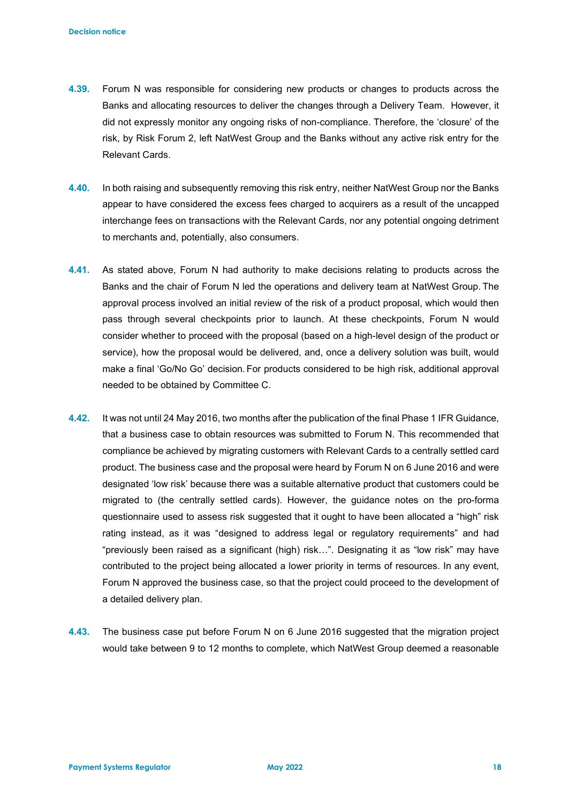- **4.39.** Forum N was responsible for considering new products or changes to products across the Banks and allocating resources to deliver the changes through a Delivery Team. However, it did not expressly monitor any ongoing risks of non-compliance. Therefore, the 'closure' of the risk, by Risk Forum 2, left NatWest Group and the Banks without any active risk entry for the Relevant Cards.
- **4.40.** In both raising and subsequently removing this risk entry, neither NatWest Group nor the Banks appear to have considered the excess fees charged to acquirers as a result of the uncapped interchange fees on transactions with the Relevant Cards, nor any potential ongoing detriment to merchants and, potentially, also consumers.
- **4.41.** As stated above, Forum N had authority to make decisions relating to products across the Banks and the chair of Forum N led the operations and delivery team at NatWest Group. The approval process involved an initial review of the risk of a product proposal, which would then pass through several checkpoints prior to launch. At these checkpoints, Forum N would consider whether to proceed with the proposal (based on a high-level design of the product or service), how the proposal would be delivered, and, once a delivery solution was built, would make a final 'Go/No Go' decision. For products considered to be high risk, additional approval needed to be obtained by Committee C.
- **4.42.** It was not until 24 May 2016, two months after the publication of the final Phase 1 IFR Guidance, that a business case to obtain resources was submitted to Forum N. This recommended that compliance be achieved by migrating customers with Relevant Cards to a centrally settled card product. The business case and the proposal were heard by Forum N on 6 June 2016 and were designated 'low risk' because there was a suitable alternative product that customers could be migrated to (the centrally settled cards). However, the guidance notes on the pro-forma questionnaire used to assess risk suggested that it ought to have been allocated a "high" risk rating instead, as it was "designed to address legal or regulatory requirements" and had "previously been raised as a significant (high) risk…". Designating it as "low risk" may have contributed to the project being allocated a lower priority in terms of resources. In any event, Forum N approved the business case, so that the project could proceed to the development of a detailed delivery plan.
- **4.43.** The business case put before Forum N on 6 June 2016 suggested that the migration project would take between 9 to 12 months to complete, which NatWest Group deemed a reasonable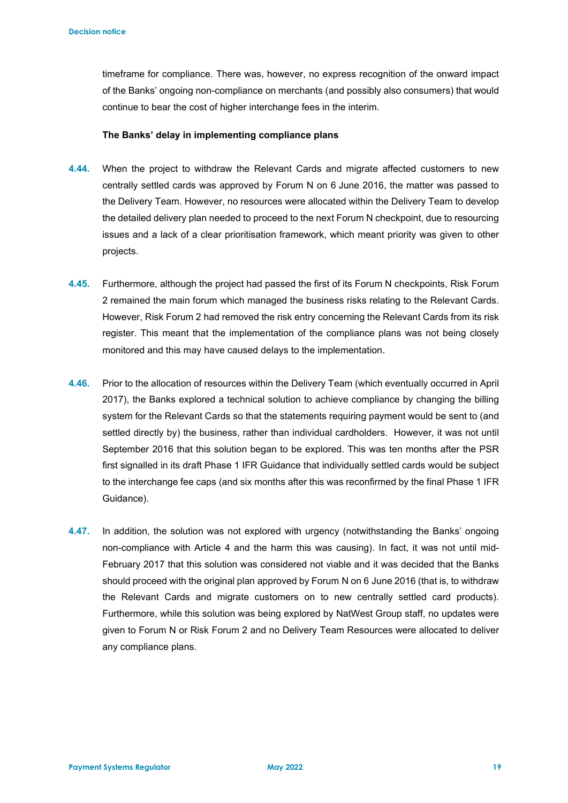timeframe for compliance. There was, however, no express recognition of the onward impact of the Banks' ongoing non-compliance on merchants (and possibly also consumers) that would continue to bear the cost of higher interchange fees in the interim.

#### **The Banks' delay in implementing compliance plans**

- **4.44.** When the project to withdraw the Relevant Cards and migrate affected customers to new centrally settled cards was approved by Forum N on 6 June 2016, the matter was passed to the Delivery Team. However, no resources were allocated within the Delivery Team to develop the detailed delivery plan needed to proceed to the next Forum N checkpoint, due to resourcing issues and a lack of a clear prioritisation framework, which meant priority was given to other projects.
- **4.45.** Furthermore, although the project had passed the first of its Forum N checkpoints, Risk Forum 2 remained the main forum which managed the business risks relating to the Relevant Cards. However, Risk Forum 2 had removed the risk entry concerning the Relevant Cards from its risk register. This meant that the implementation of the compliance plans was not being closely monitored and this may have caused delays to the implementation.
- **4.46.** Prior to the allocation of resources within the Delivery Team (which eventually occurred in April 2017), the Banks explored a technical solution to achieve compliance by changing the billing system for the Relevant Cards so that the statements requiring payment would be sent to (and settled directly by) the business, rather than individual cardholders. However, it was not until September 2016 that this solution began to be explored. This was ten months after the PSR first signalled in its draft Phase 1 IFR Guidance that individually settled cards would be subject to the interchange fee caps (and six months after this was reconfirmed by the final Phase 1 IFR Guidance).
- **4.47.** In addition, the solution was not explored with urgency (notwithstanding the Banks' ongoing non-compliance with Article 4 and the harm this was causing). In fact, it was not until mid-February 2017 that this solution was considered not viable and it was decided that the Banks should proceed with the original plan approved by Forum N on 6 June 2016 (that is, to withdraw the Relevant Cards and migrate customers on to new centrally settled card products). Furthermore, while this solution was being explored by NatWest Group staff, no updates were given to Forum N or Risk Forum 2 and no Delivery Team Resources were allocated to deliver any compliance plans.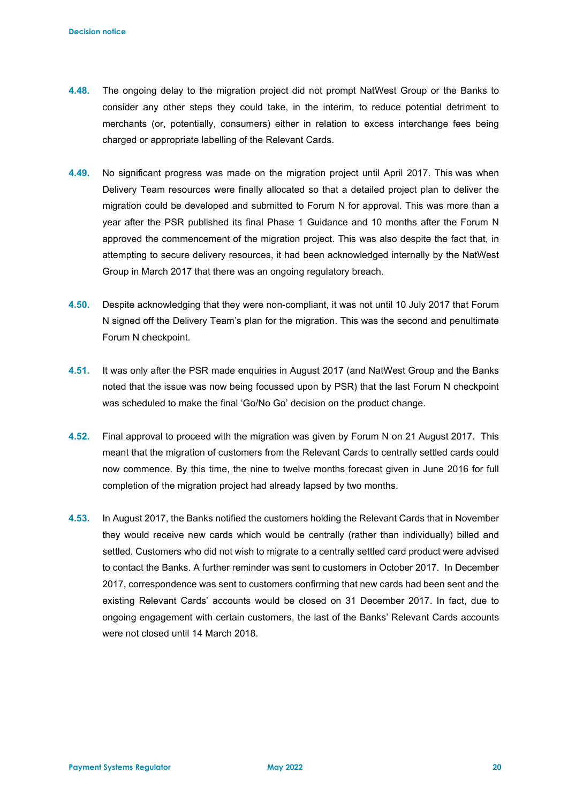- **4.48.** The ongoing delay to the migration project did not prompt NatWest Group or the Banks to consider any other steps they could take, in the interim, to reduce potential detriment to merchants (or, potentially, consumers) either in relation to excess interchange fees being charged or appropriate labelling of the Relevant Cards.
- **4.49.** No significant progress was made on the migration project until April 2017. This was when Delivery Team resources were finally allocated so that a detailed project plan to deliver the migration could be developed and submitted to Forum N for approval. This was more than a year after the PSR published its final Phase 1 Guidance and 10 months after the Forum N approved the commencement of the migration project. This was also despite the fact that, in attempting to secure delivery resources, it had been acknowledged internally by the NatWest Group in March 2017 that there was an ongoing regulatory breach.
- **4.50.** Despite acknowledging that they were non-compliant, it was not until 10 July 2017 that Forum N signed off the Delivery Team's plan for the migration. This was the second and penultimate Forum N checkpoint.
- **4.51.** It was only after the PSR made enquiries in August 2017 (and NatWest Group and the Banks noted that the issue was now being focussed upon by PSR) that the last Forum N checkpoint was scheduled to make the final 'Go/No Go' decision on the product change.
- **4.52.** Final approval to proceed with the migration was given by Forum N on 21 August 2017. This meant that the migration of customers from the Relevant Cards to centrally settled cards could now commence. By this time, the nine to twelve months forecast given in June 2016 for full completion of the migration project had already lapsed by two months.
- **4.53.** In August 2017, the Banks notified the customers holding the Relevant Cards that in November they would receive new cards which would be centrally (rather than individually) billed and settled. Customers who did not wish to migrate to a centrally settled card product were advised to contact the Banks. A further reminder was sent to customers in October 2017. In December 2017, correspondence was sent to customers confirming that new cards had been sent and the existing Relevant Cards' accounts would be closed on 31 December 2017. In fact, due to ongoing engagement with certain customers, the last of the Banks' Relevant Cards accounts were not closed until 14 March 2018.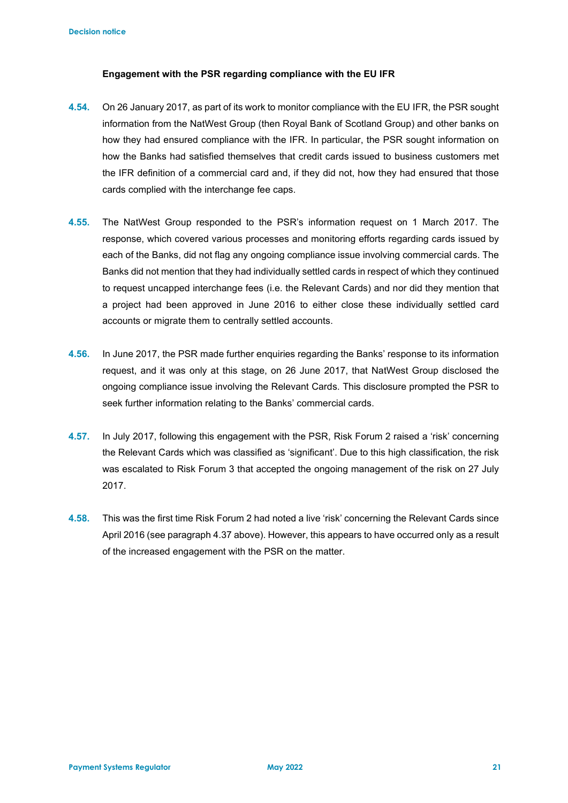### **Engagement with the PSR regarding compliance with the EU IFR**

- **4.54.** On 26 January 2017, as part of its work to monitor compliance with the EU IFR, the PSR sought information from the NatWest Group (then Royal Bank of Scotland Group) and other banks on how they had ensured compliance with the IFR. In particular, the PSR sought information on how the Banks had satisfied themselves that credit cards issued to business customers met the IFR definition of a commercial card and, if they did not, how they had ensured that those cards complied with the interchange fee caps.
- **4.55.** The NatWest Group responded to the PSR's information request on 1 March 2017. The response, which covered various processes and monitoring efforts regarding cards issued by each of the Banks, did not flag any ongoing compliance issue involving commercial cards. The Banks did not mention that they had individually settled cards in respect of which they continued to request uncapped interchange fees (i.e. the Relevant Cards) and nor did they mention that a project had been approved in June 2016 to either close these individually settled card accounts or migrate them to centrally settled accounts.
- **4.56.** In June 2017, the PSR made further enquiries regarding the Banks' response to its information request, and it was only at this stage, on 26 June 2017, that NatWest Group disclosed the ongoing compliance issue involving the Relevant Cards. This disclosure prompted the PSR to seek further information relating to the Banks' commercial cards.
- **4.57.** In July 2017, following this engagement with the PSR, Risk Forum 2 raised a 'risk' concerning the Relevant Cards which was classified as 'significant'. Due to this high classification, the risk was escalated to Risk Forum 3 that accepted the ongoing management of the risk on 27 July 2017.
- **4.58.** This was the first time Risk Forum 2 had noted a live 'risk' concerning the Relevant Cards since April 2016 (see paragraph 4.37 above). However, this appears to have occurred only as a result of the increased engagement with the PSR on the matter.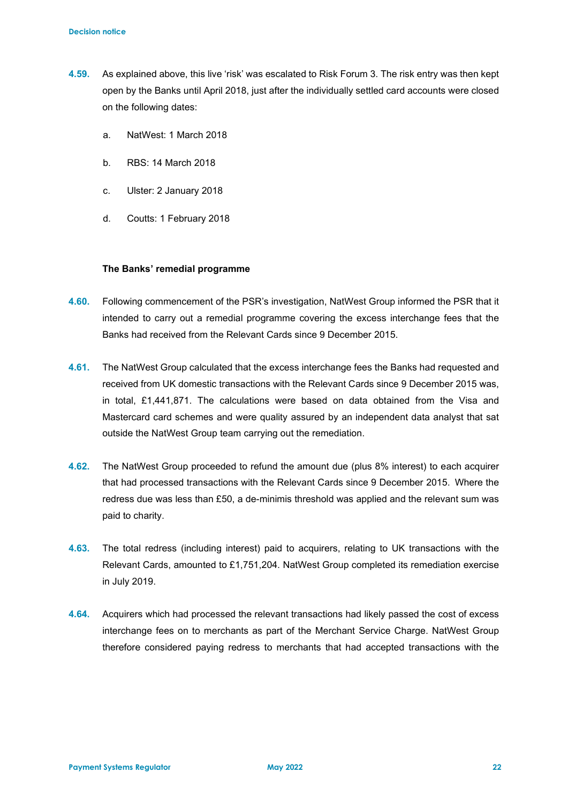- **4.59.** As explained above, this live 'risk' was escalated to Risk Forum 3. The risk entry was then kept open by the Banks until April 2018, just after the individually settled card accounts were closed on the following dates:
	- a. NatWest: 1 March 2018
	- b. RBS: 14 March 2018
	- c. Ulster: 2 January 2018
	- d. Coutts: 1 February 2018

#### **The Banks' remedial programme**

- **4.60.** Following commencement of the PSR's investigation, NatWest Group informed the PSR that it intended to carry out a remedial programme covering the excess interchange fees that the Banks had received from the Relevant Cards since 9 December 2015.
- **4.61.** The NatWest Group calculated that the excess interchange fees the Banks had requested and received from UK domestic transactions with the Relevant Cards since 9 December 2015 was, in total, £1,441,871. The calculations were based on data obtained from the Visa and Mastercard card schemes and were quality assured by an independent data analyst that sat outside the NatWest Group team carrying out the remediation.
- **4.62.** The NatWest Group proceeded to refund the amount due (plus 8% interest) to each acquirer that had processed transactions with the Relevant Cards since 9 December 2015. Where the redress due was less than £50, a de-minimis threshold was applied and the relevant sum was paid to charity.
- **4.63.** The total redress (including interest) paid to acquirers, relating to UK transactions with the Relevant Cards, amounted to £1,751,204. NatWest Group completed its remediation exercise in July 2019.
- **4.64.** Acquirers which had processed the relevant transactions had likely passed the cost of excess interchange fees on to merchants as part of the Merchant Service Charge. NatWest Group therefore considered paying redress to merchants that had accepted transactions with the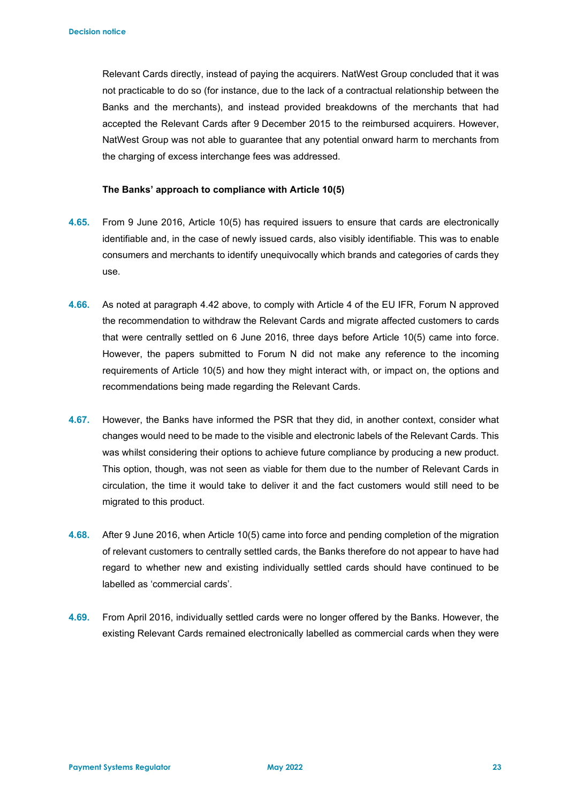Relevant Cards directly, instead of paying the acquirers. NatWest Group concluded that it was not practicable to do so (for instance, due to the lack of a contractual relationship between the Banks and the merchants), and instead provided breakdowns of the merchants that had accepted the Relevant Cards after 9 December 2015 to the reimbursed acquirers. However, NatWest Group was not able to guarantee that any potential onward harm to merchants from the charging of excess interchange fees was addressed.

### **The Banks' approach to compliance with Article 10(5)**

- **4.65.** From 9 June 2016, Article 10(5) has required issuers to ensure that cards are electronically identifiable and, in the case of newly issued cards, also visibly identifiable. This was to enable consumers and merchants to identify unequivocally which brands and categories of cards they use.
- **4.66.** As noted at paragraph 4.42 above, to comply with Article 4 of the EU IFR, Forum N approved the recommendation to withdraw the Relevant Cards and migrate affected customers to cards that were centrally settled on 6 June 2016, three days before Article 10(5) came into force. However, the papers submitted to Forum N did not make any reference to the incoming requirements of Article 10(5) and how they might interact with, or impact on, the options and recommendations being made regarding the Relevant Cards.
- **4.67.** However, the Banks have informed the PSR that they did, in another context, consider what changes would need to be made to the visible and electronic labels of the Relevant Cards. This was whilst considering their options to achieve future compliance by producing a new product. This option, though, was not seen as viable for them due to the number of Relevant Cards in circulation, the time it would take to deliver it and the fact customers would still need to be migrated to this product.
- **4.68.** After 9 June 2016, when Article 10(5) came into force and pending completion of the migration of relevant customers to centrally settled cards, the Banks therefore do not appear to have had regard to whether new and existing individually settled cards should have continued to be labelled as 'commercial cards'.
- **4.69.** From April 2016, individually settled cards were no longer offered by the Banks. However, the existing Relevant Cards remained electronically labelled as commercial cards when they were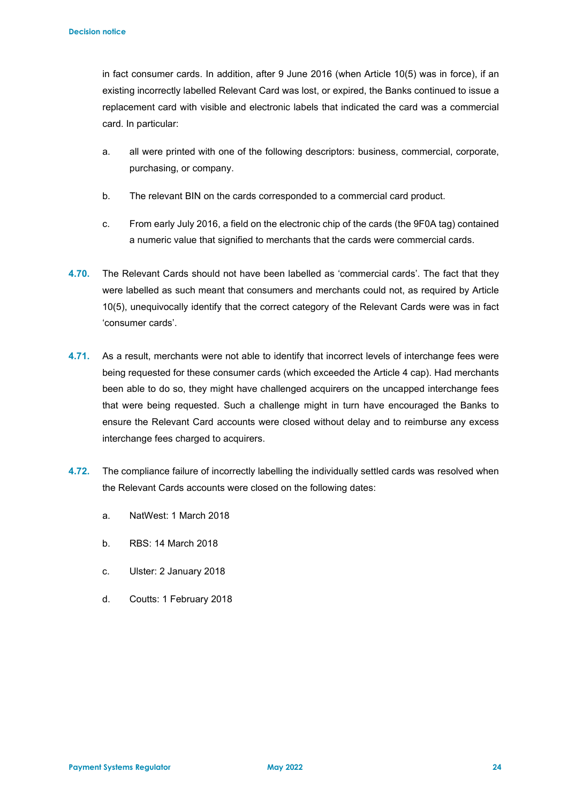in fact consumer cards. In addition, after 9 June 2016 (when Article 10(5) was in force), if an existing incorrectly labelled Relevant Card was lost, or expired, the Banks continued to issue a replacement card with visible and electronic labels that indicated the card was a commercial card. In particular:

- a. all were printed with one of the following descriptors: business, commercial, corporate, purchasing, or company.
- b. The relevant BIN on the cards corresponded to a commercial card product.
- c. From early July 2016, a field on the electronic chip of the cards (the 9F0A tag) contained a numeric value that signified to merchants that the cards were commercial cards.
- **4.70.** The Relevant Cards should not have been labelled as 'commercial cards'. The fact that they were labelled as such meant that consumers and merchants could not, as required by Article 10(5), unequivocally identify that the correct category of the Relevant Cards were was in fact 'consumer cards'.
- **4.71.** As a result, merchants were not able to identify that incorrect levels of interchange fees were being requested for these consumer cards (which exceeded the Article 4 cap). Had merchants been able to do so, they might have challenged acquirers on the uncapped interchange fees that were being requested. Such a challenge might in turn have encouraged the Banks to ensure the Relevant Card accounts were closed without delay and to reimburse any excess interchange fees charged to acquirers.
- **4.72.** The compliance failure of incorrectly labelling the individually settled cards was resolved when the Relevant Cards accounts were closed on the following dates:
	- a. NatWest: 1 March 2018
	- b. RBS: 14 March 2018
	- c. Ulster: 2 January 2018
	- d. Coutts: 1 February 2018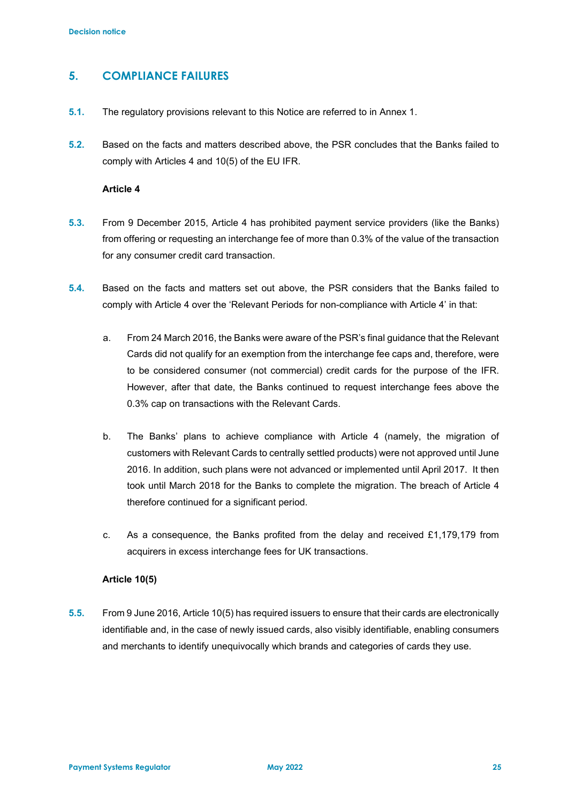## **5. COMPLIANCE FAILURES**

- **5.1.** The regulatory provisions relevant to this Notice are referred to in Annex 1.
- **5.2.** Based on the facts and matters described above, the PSR concludes that the Banks failed to comply with Articles 4 and 10(5) of the EU IFR.

#### **Article 4**

- **5.3.** From 9 December 2015, Article 4 has prohibited payment service providers (like the Banks) from offering or requesting an interchange fee of more than 0.3% of the value of the transaction for any consumer credit card transaction.
- **5.4.** Based on the facts and matters set out above, the PSR considers that the Banks failed to comply with Article 4 over the 'Relevant Periods for non-compliance with Article 4' in that:
	- a. From 24 March 2016, the Banks were aware of the PSR's final guidance that the Relevant Cards did not qualify for an exemption from the interchange fee caps and, therefore, were to be considered consumer (not commercial) credit cards for the purpose of the IFR. However, after that date, the Banks continued to request interchange fees above the 0.3% cap on transactions with the Relevant Cards.
	- b. The Banks' plans to achieve compliance with Article 4 (namely, the migration of customers with Relevant Cards to centrally settled products) were not approved until June 2016. In addition, such plans were not advanced or implemented until April 2017. It then took until March 2018 for the Banks to complete the migration. The breach of Article 4 therefore continued for a significant period.
	- c. As a consequence, the Banks profited from the delay and received £1,179,179 from acquirers in excess interchange fees for UK transactions.

### **Article 10(5)**

**5.5.** From 9 June 2016, Article 10(5) has required issuers to ensure that their cards are electronically identifiable and, in the case of newly issued cards, also visibly identifiable, enabling consumers and merchants to identify unequivocally which brands and categories of cards they use.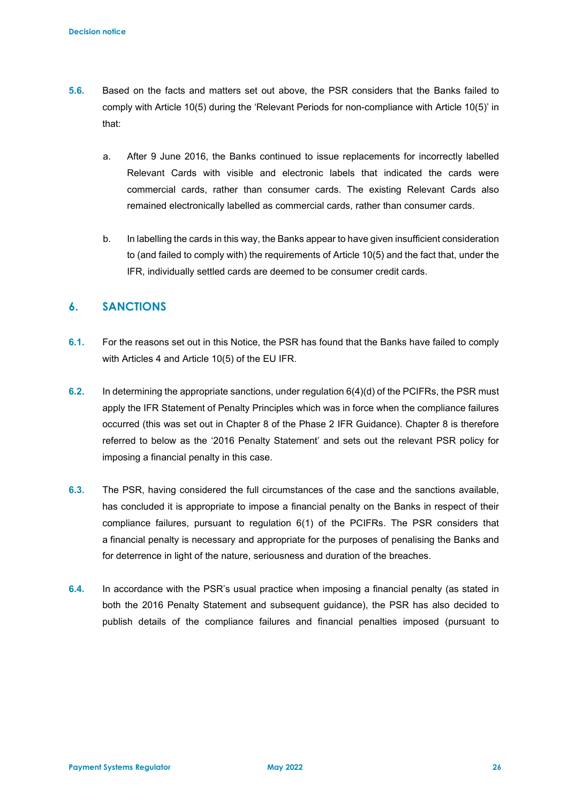- **5.6.** Based on the facts and matters set out above, the PSR considers that the Banks failed to comply with Article 10(5) during the 'Relevant Periods for non-compliance with Article 10(5)' in that:
	- a. After 9 June 2016, the Banks continued to issue replacements for incorrectly labelled Relevant Cards with visible and electronic labels that indicated the cards were commercial cards, rather than consumer cards. The existing Relevant Cards also remained electronically labelled as commercial cards, rather than consumer cards.
	- b. In labelling the cards in this way, the Banks appear to have given insufficient consideration to (and failed to comply with) the requirements of Article 10(5) and the fact that, under the IFR, individually settled cards are deemed to be consumer credit cards.

# **6. SANCTIONS**

- **6.1.** For the reasons set out in this Notice, the PSR has found that the Banks have failed to comply with Articles 4 and Article 10(5) of the EU IFR.
- **6.2.** In determining the appropriate sanctions, under regulation 6(4)(d) of the PCIFRs, the PSR must apply the IFR Statement of Penalty Principles which was in force when the compliance failures occurred (this was set out in Chapter 8 of the Phase 2 IFR Guidance). Chapter 8 is therefore referred to below as the '2016 Penalty Statement' and sets out the relevant PSR policy for imposing a financial penalty in this case.
- **6.3.** The PSR, having considered the full circumstances of the case and the sanctions available, has concluded it is appropriate to impose a financial penalty on the Banks in respect of their compliance failures, pursuant to regulation 6(1) of the PCIFRs. The PSR considers that a financial penalty is necessary and appropriate for the purposes of penalising the Banks and for deterrence in light of the nature, seriousness and duration of the breaches.
- **6.4.** In accordance with the PSR's usual practice when imposing a financial penalty (as stated in both the 2016 Penalty Statement and subsequent guidance), the PSR has also decided to publish details of the compliance failures and financial penalties imposed (pursuant to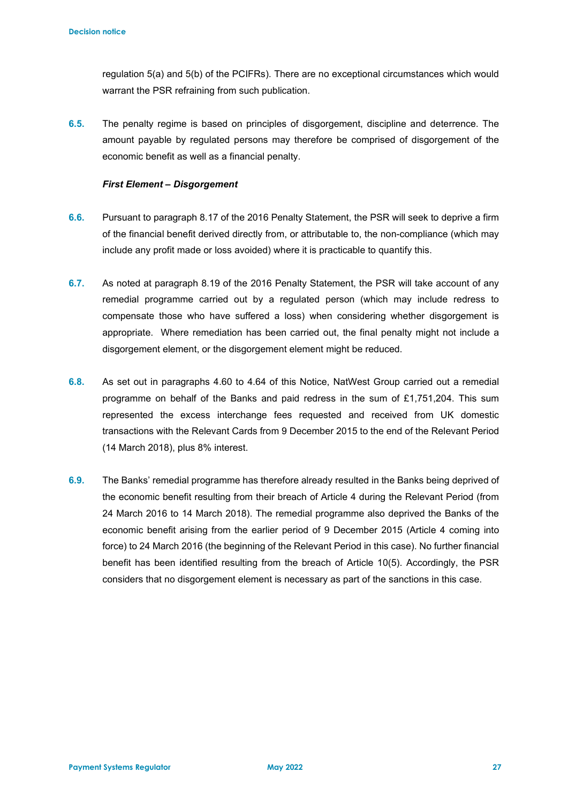regulation 5(a) and 5(b) of the PCIFRs). There are no exceptional circumstances which would warrant the PSR refraining from such publication.

**6.5.** The penalty regime is based on principles of disgorgement, discipline and deterrence. The amount payable by regulated persons may therefore be comprised of disgorgement of the economic benefit as well as a financial penalty.

#### *First Element – Disgorgement*

- **6.6.** Pursuant to paragraph 8.17 of the 2016 Penalty Statement, the PSR will seek to deprive a firm of the financial benefit derived directly from, or attributable to, the non-compliance (which may include any profit made or loss avoided) where it is practicable to quantify this.
- **6.7.** As noted at paragraph 8.19 of the 2016 Penalty Statement, the PSR will take account of any remedial programme carried out by a regulated person (which may include redress to compensate those who have suffered a loss) when considering whether disgorgement is appropriate. Where remediation has been carried out, the final penalty might not include a disgorgement element, or the disgorgement element might be reduced.
- **6.8.** As set out in paragraphs 4.60 to 4.64 of this Notice, NatWest Group carried out a remedial programme on behalf of the Banks and paid redress in the sum of £1,751,204. This sum represented the excess interchange fees requested and received from UK domestic transactions with the Relevant Cards from 9 December 2015 to the end of the Relevant Period (14 March 2018), plus 8% interest.
- **6.9.** The Banks' remedial programme has therefore already resulted in the Banks being deprived of the economic benefit resulting from their breach of Article 4 during the Relevant Period (from 24 March 2016 to 14 March 2018). The remedial programme also deprived the Banks of the economic benefit arising from the earlier period of 9 December 2015 (Article 4 coming into force) to 24 March 2016 (the beginning of the Relevant Period in this case). No further financial benefit has been identified resulting from the breach of Article 10(5). Accordingly, the PSR considers that no disgorgement element is necessary as part of the sanctions in this case.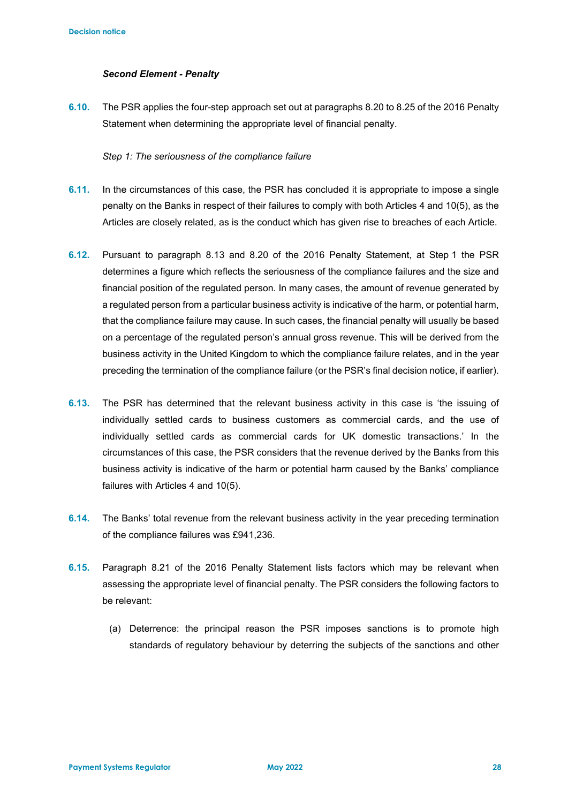#### *Second Element - Penalty*

**6.10.** The PSR applies the four-step approach set out at paragraphs 8.20 to 8.25 of the 2016 Penalty Statement when determining the appropriate level of financial penalty.

#### *Step 1: The seriousness of the compliance failure*

- **6.11.** In the circumstances of this case, the PSR has concluded it is appropriate to impose a single penalty on the Banks in respect of their failures to comply with both Articles 4 and 10(5), as the Articles are closely related, as is the conduct which has given rise to breaches of each Article.
- **6.12.** Pursuant to paragraph 8.13 and 8.20 of the 2016 Penalty Statement, at Step 1 the PSR determines a figure which reflects the seriousness of the compliance failures and the size and financial position of the regulated person. In many cases, the amount of revenue generated by a regulated person from a particular business activity is indicative of the harm, or potential harm, that the compliance failure may cause. In such cases, the financial penalty will usually be based on a percentage of the regulated person's annual gross revenue. This will be derived from the business activity in the United Kingdom to which the compliance failure relates, and in the year preceding the termination of the compliance failure (or the PSR's final decision notice, if earlier).
- **6.13.** The PSR has determined that the relevant business activity in this case is 'the issuing of individually settled cards to business customers as commercial cards, and the use of individually settled cards as commercial cards for UK domestic transactions.' In the circumstances of this case, the PSR considers that the revenue derived by the Banks from this business activity is indicative of the harm or potential harm caused by the Banks' compliance failures with Articles 4 and 10(5).
- **6.14.** The Banks' total revenue from the relevant business activity in the year preceding termination of the compliance failures was £941,236.
- **6.15.** Paragraph 8.21 of the 2016 Penalty Statement lists factors which may be relevant when assessing the appropriate level of financial penalty. The PSR considers the following factors to be relevant:
	- (a) Deterrence: the principal reason the PSR imposes sanctions is to promote high standards of regulatory behaviour by deterring the subjects of the sanctions and other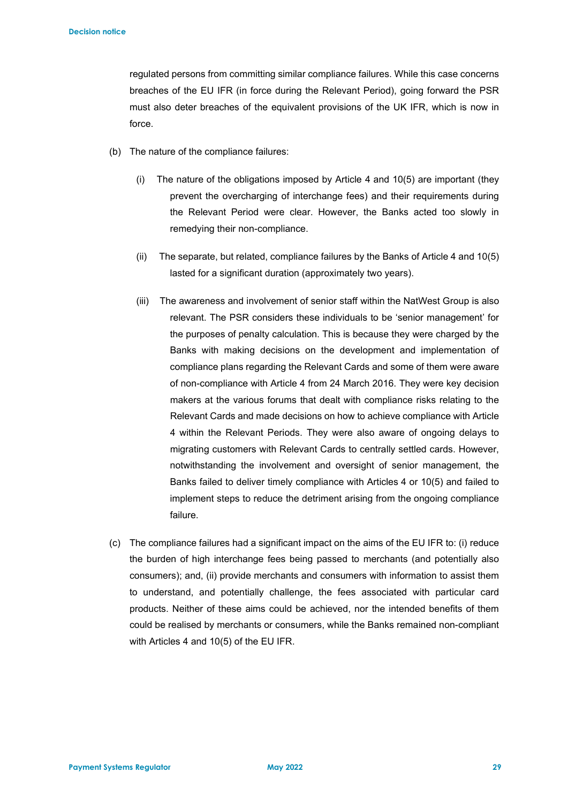regulated persons from committing similar compliance failures. While this case concerns breaches of the EU IFR (in force during the Relevant Period), going forward the PSR must also deter breaches of the equivalent provisions of the UK IFR, which is now in force.

- (b) The nature of the compliance failures:
	- (i) The nature of the obligations imposed by Article 4 and 10(5) are important (they prevent the overcharging of interchange fees) and their requirements during the Relevant Period were clear. However, the Banks acted too slowly in remedying their non-compliance.
	- (ii) The separate, but related, compliance failures by the Banks of Article 4 and 10(5) lasted for a significant duration (approximately two years).
	- (iii) The awareness and involvement of senior staff within the NatWest Group is also relevant. The PSR considers these individuals to be 'senior management' for the purposes of penalty calculation. This is because they were charged by the Banks with making decisions on the development and implementation of compliance plans regarding the Relevant Cards and some of them were aware of non-compliance with Article 4 from 24 March 2016. They were key decision makers at the various forums that dealt with compliance risks relating to the Relevant Cards and made decisions on how to achieve compliance with Article 4 within the Relevant Periods. They were also aware of ongoing delays to migrating customers with Relevant Cards to centrally settled cards. However, notwithstanding the involvement and oversight of senior management, the Banks failed to deliver timely compliance with Articles 4 or 10(5) and failed to implement steps to reduce the detriment arising from the ongoing compliance failure.
- (c) The compliance failures had a significant impact on the aims of the EU IFR to: (i) reduce the burden of high interchange fees being passed to merchants (and potentially also consumers); and, (ii) provide merchants and consumers with information to assist them to understand, and potentially challenge, the fees associated with particular card products. Neither of these aims could be achieved, nor the intended benefits of them could be realised by merchants or consumers, while the Banks remained non-compliant with Articles 4 and 10(5) of the EU IFR.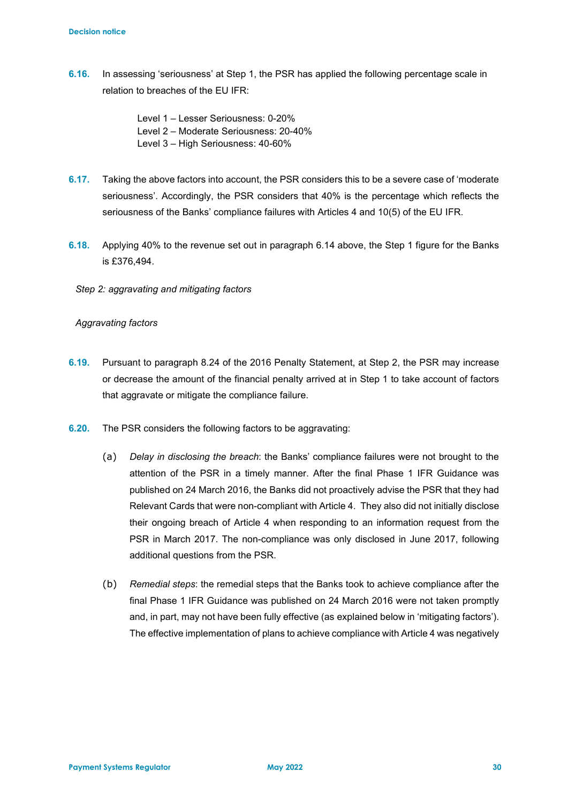- **6.16.** In assessing 'seriousness' at Step 1, the PSR has applied the following percentage scale in relation to breaches of the EU IFR:
	- Level 1 Lesser Seriousness: 0-20% Level 2 – Moderate Seriousness: 20-40%
	- Level 3 High Seriousness: 40-60%
- **6.17.** Taking the above factors into account, the PSR considers this to be a severe case of 'moderate seriousness'. Accordingly, the PSR considers that 40% is the percentage which reflects the seriousness of the Banks' compliance failures with Articles 4 and 10(5) of the EU IFR.
- **6.18.** Applying 40% to the revenue set out in paragraph 6.14 above, the Step 1 figure for the Banks is £376,494.
	- *Step 2: aggravating and mitigating factors*

## *Aggravating factors*

- **6.19.** Pursuant to paragraph 8.24 of the 2016 Penalty Statement, at Step 2, the PSR may increase or decrease the amount of the financial penalty arrived at in Step 1 to take account of factors that aggravate or mitigate the compliance failure.
- **6.20.** The PSR considers the following factors to be aggravating:
	- (a) *Delay in disclosing the breach*: the Banks' compliance failures were not brought to the attention of the PSR in a timely manner. After the final Phase 1 IFR Guidance was published on 24 March 2016, the Banks did not proactively advise the PSR that they had Relevant Cards that were non-compliant with Article 4. They also did not initially disclose their ongoing breach of Article 4 when responding to an information request from the PSR in March 2017. The non-compliance was only disclosed in June 2017, following additional questions from the PSR.
	- (b) *Remedial steps*: the remedial steps that the Banks took to achieve compliance after the final Phase 1 IFR Guidance was published on 24 March 2016 were not taken promptly and, in part, may not have been fully effective (as explained below in 'mitigating factors'). The effective implementation of plans to achieve compliance with Article 4 was negatively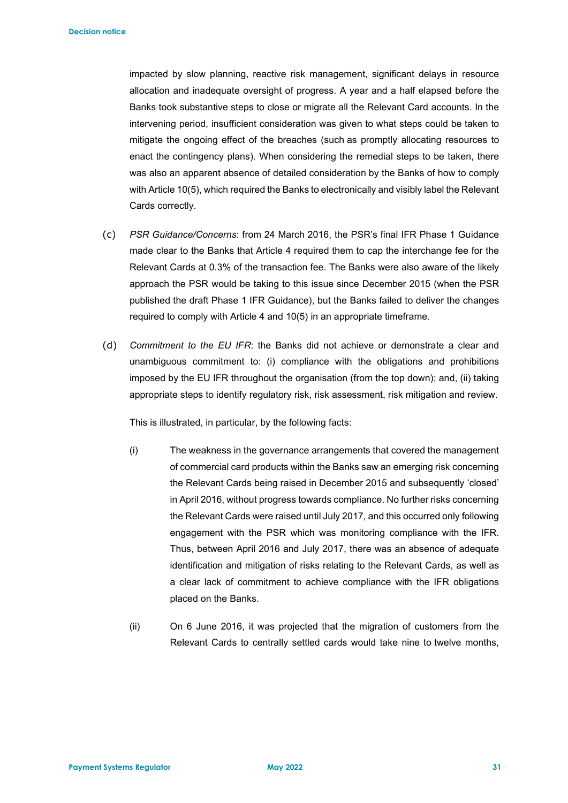impacted by slow planning, reactive risk management, significant delays in resource allocation and inadequate oversight of progress. A year and a half elapsed before the Banks took substantive steps to close or migrate all the Relevant Card accounts. In the intervening period, insufficient consideration was given to what steps could be taken to mitigate the ongoing effect of the breaches (such as promptly allocating resources to enact the contingency plans). When considering the remedial steps to be taken, there was also an apparent absence of detailed consideration by the Banks of how to comply with Article 10(5), which required the Banks to electronically and visibly label the Relevant Cards correctly.

- (c) *PSR Guidance/Concerns*: from 24 March 2016, the PSR's final IFR Phase 1 Guidance made clear to the Banks that Article 4 required them to cap the interchange fee for the Relevant Cards at 0.3% of the transaction fee. The Banks were also aware of the likely approach the PSR would be taking to this issue since December 2015 (when the PSR published the draft Phase 1 IFR Guidance), but the Banks failed to deliver the changes required to comply with Article 4 and 10(5) in an appropriate timeframe.
- (d) *Commitment to the EU IFR*: the Banks did not achieve or demonstrate a clear and unambiguous commitment to: (i) compliance with the obligations and prohibitions imposed by the EU IFR throughout the organisation (from the top down); and, (ii) taking appropriate steps to identify regulatory risk, risk assessment, risk mitigation and review.

This is illustrated, in particular, by the following facts:

- (i) The weakness in the governance arrangements that covered the management of commercial card products within the Banks saw an emerging risk concerning the Relevant Cards being raised in December 2015 and subsequently 'closed' in April 2016, without progress towards compliance. No further risks concerning the Relevant Cards were raised until July 2017, and this occurred only following engagement with the PSR which was monitoring compliance with the IFR. Thus, between April 2016 and July 2017, there was an absence of adequate identification and mitigation of risks relating to the Relevant Cards, as well as a clear lack of commitment to achieve compliance with the IFR obligations placed on the Banks.
- (ii) On 6 June 2016, it was projected that the migration of customers from the Relevant Cards to centrally settled cards would take nine to twelve months,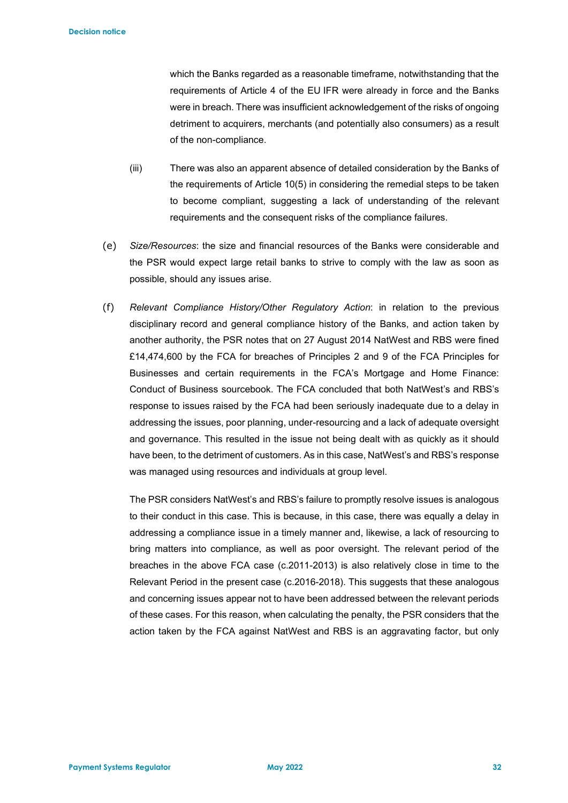which the Banks regarded as a reasonable timeframe, notwithstanding that the requirements of Article 4 of the EU IFR were already in force and the Banks were in breach. There was insufficient acknowledgement of the risks of ongoing detriment to acquirers, merchants (and potentially also consumers) as a result of the non-compliance.

- (iii) There was also an apparent absence of detailed consideration by the Banks of the requirements of Article 10(5) in considering the remedial steps to be taken to become compliant, suggesting a lack of understanding of the relevant requirements and the consequent risks of the compliance failures.
- (e) *Size/Resources*: the size and financial resources of the Banks were considerable and the PSR would expect large retail banks to strive to comply with the law as soon as possible, should any issues arise.
- (f) *Relevant Compliance History/Other Regulatory Action*: in relation to the previous disciplinary record and general compliance history of the Banks, and action taken by another authority, the PSR notes that on 27 August 2014 NatWest and RBS were fined £14,474,600 by the FCA for breaches of Principles 2 and 9 of the FCA Principles for Businesses and certain requirements in the FCA's Mortgage and Home Finance: Conduct of Business sourcebook. The FCA concluded that both NatWest's and RBS's response to issues raised by the FCA had been seriously inadequate due to a delay in addressing the issues, poor planning, under-resourcing and a lack of adequate oversight and governance. This resulted in the issue not being dealt with as quickly as it should have been, to the detriment of customers. As in this case, NatWest's and RBS's response was managed using resources and individuals at group level.

The PSR considers NatWest's and RBS's failure to promptly resolve issues is analogous to their conduct in this case. This is because, in this case, there was equally a delay in addressing a compliance issue in a timely manner and, likewise, a lack of resourcing to bring matters into compliance, as well as poor oversight. The relevant period of the breaches in the above FCA case (c.2011-2013) is also relatively close in time to the Relevant Period in the present case (c.2016-2018). This suggests that these analogous and concerning issues appear not to have been addressed between the relevant periods of these cases. For this reason, when calculating the penalty, the PSR considers that the action taken by the FCA against NatWest and RBS is an aggravating factor, but only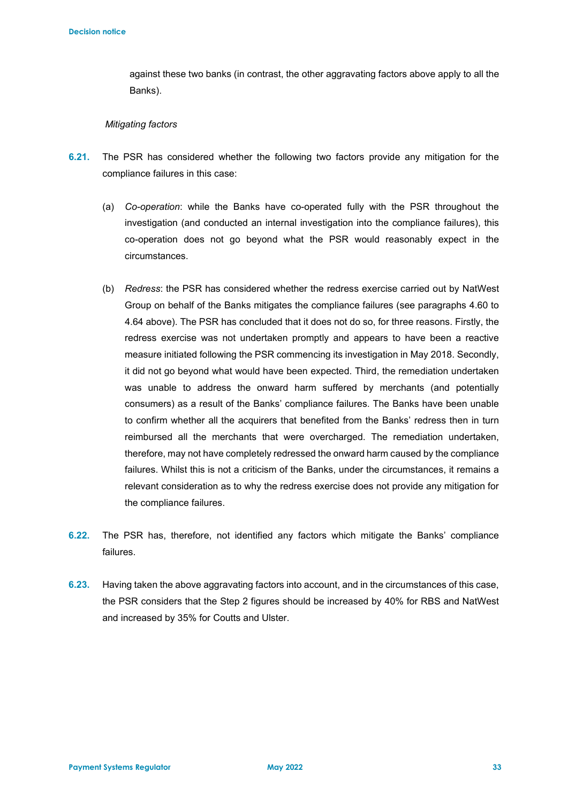against these two banks (in contrast, the other aggravating factors above apply to all the Banks).

#### *Mitigating factors*

- **6.21.** The PSR has considered whether the following two factors provide any mitigation for the compliance failures in this case:
	- (a) *Co-operation*: while the Banks have co-operated fully with the PSR throughout the investigation (and conducted an internal investigation into the compliance failures), this co-operation does not go beyond what the PSR would reasonably expect in the circumstances.
	- (b) *Redress*: the PSR has considered whether the redress exercise carried out by NatWest Group on behalf of the Banks mitigates the compliance failures (see paragraphs 4.60 to 4.64 above). The PSR has concluded that it does not do so, for three reasons. Firstly, the redress exercise was not undertaken promptly and appears to have been a reactive measure initiated following the PSR commencing its investigation in May 2018. Secondly, it did not go beyond what would have been expected. Third, the remediation undertaken was unable to address the onward harm suffered by merchants (and potentially consumers) as a result of the Banks' compliance failures. The Banks have been unable to confirm whether all the acquirers that benefited from the Banks' redress then in turn reimbursed all the merchants that were overcharged. The remediation undertaken, therefore, may not have completely redressed the onward harm caused by the compliance failures. Whilst this is not a criticism of the Banks, under the circumstances, it remains a relevant consideration as to why the redress exercise does not provide any mitigation for the compliance failures.
- **6.22.** The PSR has, therefore, not identified any factors which mitigate the Banks' compliance failures.
- **6.23.** Having taken the above aggravating factors into account, and in the circumstances of this case, the PSR considers that the Step 2 figures should be increased by 40% for RBS and NatWest and increased by 35% for Coutts and Ulster.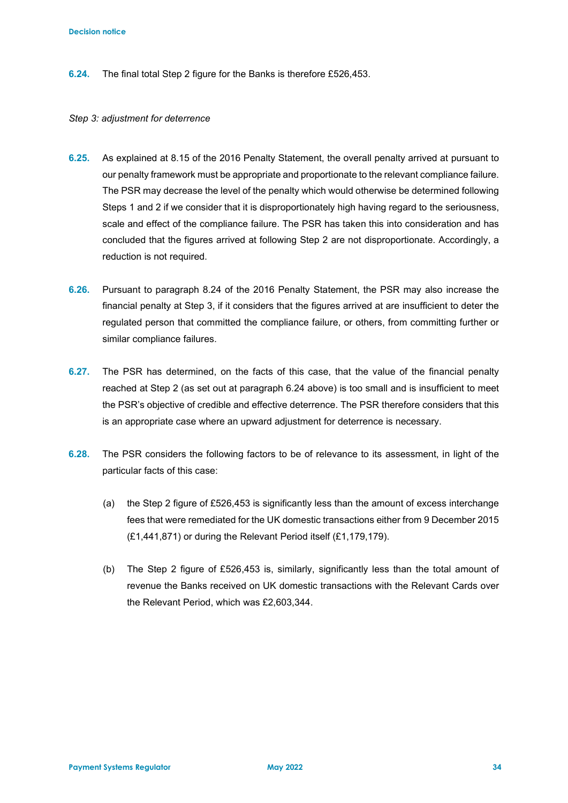**6.24.** The final total Step 2 figure for the Banks is therefore £526,453.

#### *Step 3: adjustment for deterrence*

- **6.25.** As explained at 8.15 of the 2016 Penalty Statement, the overall penalty arrived at pursuant to our penalty framework must be appropriate and proportionate to the relevant compliance failure. The PSR may decrease the level of the penalty which would otherwise be determined following Steps 1 and 2 if we consider that it is disproportionately high having regard to the seriousness, scale and effect of the compliance failure. The PSR has taken this into consideration and has concluded that the figures arrived at following Step 2 are not disproportionate. Accordingly, a reduction is not required.
- **6.26.** Pursuant to paragraph 8.24 of the 2016 Penalty Statement, the PSR may also increase the financial penalty at Step 3, if it considers that the figures arrived at are insufficient to deter the regulated person that committed the compliance failure, or others, from committing further or similar compliance failures.
- **6.27.** The PSR has determined, on the facts of this case, that the value of the financial penalty reached at Step 2 (as set out at paragraph 6.24 above) is too small and is insufficient to meet the PSR's objective of credible and effective deterrence. The PSR therefore considers that this is an appropriate case where an upward adjustment for deterrence is necessary.
- **6.28.** The PSR considers the following factors to be of relevance to its assessment, in light of the particular facts of this case:
	- (a) the Step 2 figure of £526,453 is significantly less than the amount of excess interchange fees that were remediated for the UK domestic transactions either from 9 December 2015 (£1,441,871) or during the Relevant Period itself (£1,179,179).
	- (b) The Step 2 figure of £526,453 is, similarly, significantly less than the total amount of revenue the Banks received on UK domestic transactions with the Relevant Cards over the Relevant Period, which was £2,603,344.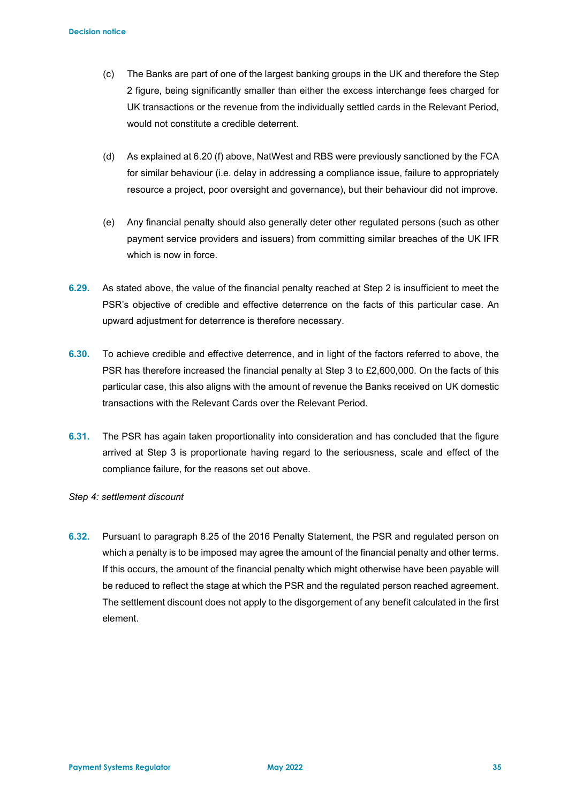- (c) The Banks are part of one of the largest banking groups in the UK and therefore the Step 2 figure, being significantly smaller than either the excess interchange fees charged for UK transactions or the revenue from the individually settled cards in the Relevant Period, would not constitute a credible deterrent.
- (d) As explained at 6.20 (f) above, NatWest and RBS were previously sanctioned by the FCA for similar behaviour (i.e. delay in addressing a compliance issue, failure to appropriately resource a project, poor oversight and governance), but their behaviour did not improve.
- (e) Any financial penalty should also generally deter other regulated persons (such as other payment service providers and issuers) from committing similar breaches of the UK IFR which is now in force.
- **6.29.** As stated above, the value of the financial penalty reached at Step 2 is insufficient to meet the PSR's objective of credible and effective deterrence on the facts of this particular case. An upward adjustment for deterrence is therefore necessary.
- **6.30.** To achieve credible and effective deterrence, and in light of the factors referred to above, the PSR has therefore increased the financial penalty at Step 3 to £2,600,000. On the facts of this particular case, this also aligns with the amount of revenue the Banks received on UK domestic transactions with the Relevant Cards over the Relevant Period.
- **6.31.** The PSR has again taken proportionality into consideration and has concluded that the figure arrived at Step 3 is proportionate having regard to the seriousness, scale and effect of the compliance failure, for the reasons set out above.
- *Step 4: settlement discount*
- **6.32.** Pursuant to paragraph 8.25 of the 2016 Penalty Statement, the PSR and regulated person on which a penalty is to be imposed may agree the amount of the financial penalty and other terms. If this occurs, the amount of the financial penalty which might otherwise have been payable will be reduced to reflect the stage at which the PSR and the regulated person reached agreement. The settlement discount does not apply to the disgorgement of any benefit calculated in the first element.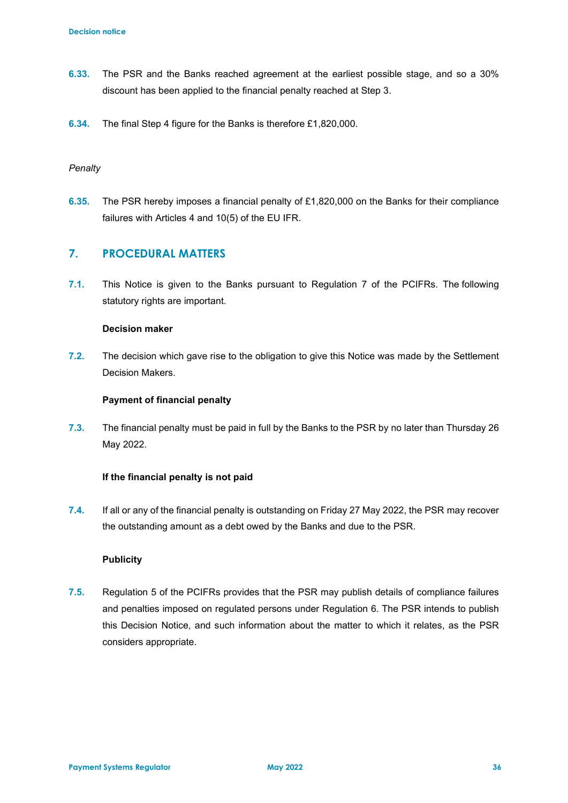- **6.33.** The PSR and the Banks reached agreement at the earliest possible stage, and so a 30% discount has been applied to the financial penalty reached at Step 3.
- **6.34.** The final Step 4 figure for the Banks is therefore £1,820,000.

### *Penalty*

**6.35.** The PSR hereby imposes a financial penalty of £1,820,000 on the Banks for their compliance failures with Articles 4 and 10(5) of the EU IFR.

## **7. PROCEDURAL MATTERS**

**7.1.** This Notice is given to the Banks pursuant to Regulation 7 of the PCIFRs. The following statutory rights are important.

#### **Decision maker**

**7.2.** The decision which gave rise to the obligation to give this Notice was made by the Settlement Decision Makers.

#### **Payment of financial penalty**

**7.3.** The financial penalty must be paid in full by the Banks to the PSR by no later than Thursday 26 May 2022.

### **If the financial penalty is not paid**

**7.4.** If all or any of the financial penalty is outstanding on Friday 27 May 2022, the PSR may recover the outstanding amount as a debt owed by the Banks and due to the PSR.

#### **Publicity**

**7.5.** Regulation 5 of the PCIFRs provides that the PSR may publish details of compliance failures and penalties imposed on regulated persons under Regulation 6. The PSR intends to publish this Decision Notice, and such information about the matter to which it relates, as the PSR considers appropriate.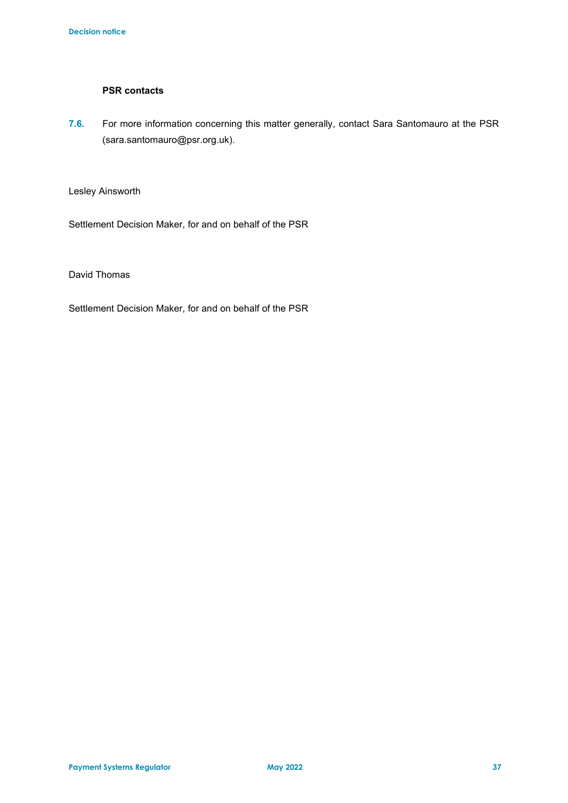## **PSR contacts**

**7.6.** For more information concerning this matter generally, contact Sara Santomauro at the PSR (sara.santomauro@psr.org.uk).

Lesley Ainsworth

Settlement Decision Maker, for and on behalf of the PSR

David Thomas

Settlement Decision Maker, for and on behalf of the PSR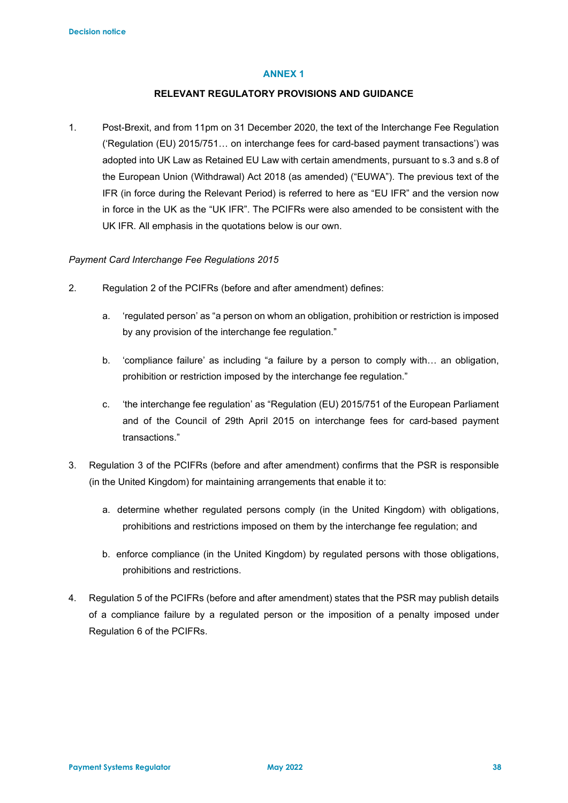#### **ANNEX 1**

#### **RELEVANT REGULATORY PROVISIONS AND GUIDANCE**

1. Post-Brexit, and from 11pm on 31 December 2020, the text of the Interchange Fee Regulation ('Regulation (EU) 2015/751… on interchange fees for card-based payment transactions') was adopted into UK Law as Retained EU Law with certain amendments, pursuant to s.3 and s.8 of the European Union (Withdrawal) Act 2018 (as amended) ("EUWA"). The previous text of the IFR (in force during the Relevant Period) is referred to here as "EU IFR" and the version now in force in the UK as the "UK IFR". The PCIFRs were also amended to be consistent with the UK IFR. All emphasis in the quotations below is our own.

#### *Payment Card Interchange Fee Regulations 2015*

- 2. Regulation 2 of the PCIFRs (before and after amendment) defines:
	- a. 'regulated person' as "a person on whom an obligation, prohibition or restriction is imposed by any provision of the interchange fee regulation."
	- b. 'compliance failure' as including "a failure by a person to comply with… an obligation, prohibition or restriction imposed by the interchange fee regulation."
	- c. 'the interchange fee regulation' as "Regulation (EU) 2015/751 of the European Parliament and of the Council of 29th April 2015 on interchange fees for card-based payment transactions."
- 3. Regulation 3 of the PCIFRs (before and after amendment) confirms that the PSR is responsible (in the United Kingdom) for maintaining arrangements that enable it to:
	- a. determine whether regulated persons comply (in the United Kingdom) with obligations, prohibitions and restrictions imposed on them by the interchange fee regulation; and
	- b. enforce compliance (in the United Kingdom) by regulated persons with those obligations, prohibitions and restrictions.
- 4. Regulation 5 of the PCIFRs (before and after amendment) states that the PSR may publish details of a compliance failure by a regulated person or the imposition of a penalty imposed under Regulation 6 of the PCIFRs.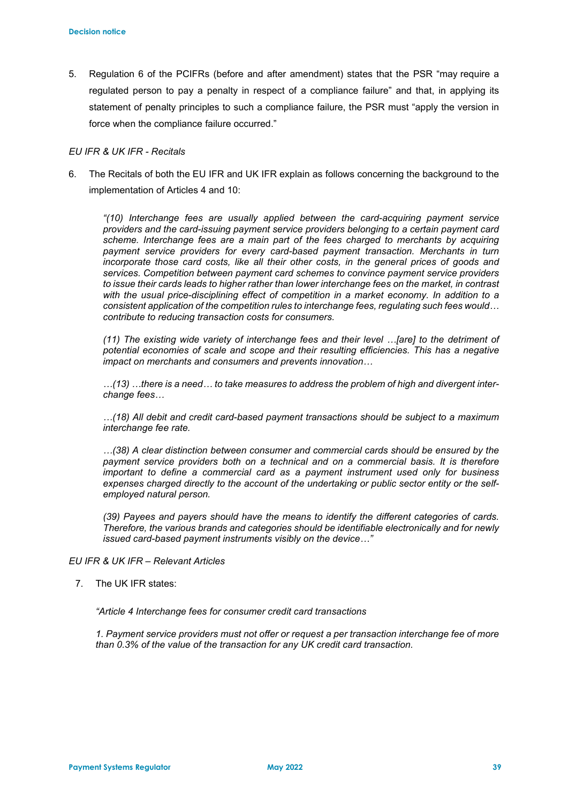5. Regulation 6 of the PCIFRs (before and after amendment) states that the PSR "may require a regulated person to pay a penalty in respect of a compliance failure" and that, in applying its statement of penalty principles to such a compliance failure, the PSR must "apply the version in force when the compliance failure occurred."

#### *EU IFR & UK IFR - Recitals*

6. The Recitals of both the EU IFR and UK IFR explain as follows concerning the background to the implementation of Articles 4 and 10:

*"(10) Interchange fees are usually applied between the card-acquiring payment service providers and the card-issuing payment service providers belonging to a certain payment card scheme. Interchange fees are a main part of the fees charged to merchants by acquiring payment service providers for every card-based payment transaction. Merchants in turn incorporate those card costs, like all their other costs, in the general prices of goods and services. Competition between payment card schemes to convince payment service providers to issue their cards leads to higher rather than lower interchange fees on the market, in contrast with the usual price-disciplining effect of competition in a market economy. In addition to a consistent application of the competition rules to interchange fees, regulating such fees would… contribute to reducing transaction costs for consumers.*

*(11) The existing wide variety of interchange fees and their level …[are] to the detriment of potential economies of scale and scope and their resulting efficiencies. This has a negative impact on merchants and consumers and prevents innovation…*

*…(13) …there is a need… to take measures to address the problem of high and divergent interchange fees…*

*…(18) All debit and credit card-based payment transactions should be subject to a maximum interchange fee rate.*

*…(38) A clear distinction between consumer and commercial cards should be ensured by the payment service providers both on a technical and on a commercial basis. It is therefore important to define a commercial card as a payment instrument used only for business expenses charged directly to the account of the undertaking or public sector entity or the selfemployed natural person.*

*(39) Payees and payers should have the means to identify the different categories of cards. Therefore, the various brands and categories should be identifiable electronically and for newly issued card-based payment instruments visibly on the device…"*

### *EU IFR & UK IFR – Relevant Articles*

7. The UK IFR states:

*"Article 4 Interchange fees for consumer credit card transactions*

*1. Payment service providers must not offer or request a per transaction interchange fee of more than 0.3% of the value of the transaction for any UK credit card transaction.*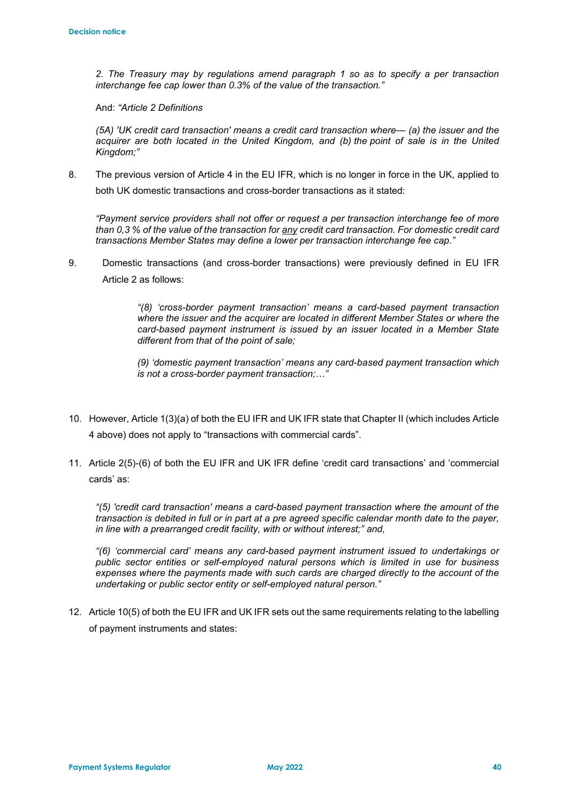*2. The Treasury may by regulations amend paragraph 1 so as to specify a per transaction interchange fee cap lower than 0.3% of the value of the transaction."*

And: *"Article 2 Definitions*

*(5A) 'UK credit card transaction' means a credit card transaction where— (a) the issuer and the acquirer are both located in the United Kingdom, and (b) the point of sale is in the United Kingdom;"*

8. The previous version of Article 4 in the EU IFR, which is no longer in force in the UK, applied to both UK domestic transactions and cross-border transactions as it stated:

*"Payment service providers shall not offer or request a per transaction interchange fee of more than 0,3 % of the value of the transaction for any credit card transaction. For domestic credit card transactions Member States may define a lower per transaction interchange fee cap."*

9. Domestic transactions (and cross-border transactions) were previously defined in EU IFR Article 2 as follows:

> *"(8) 'cross-border payment transaction' means a card-based payment transaction where the issuer and the acquirer are located in different Member States or where the card-based payment instrument is issued by an issuer located in a Member State different from that of the point of sale;*

> *(9) 'domestic payment transaction' means any card-based payment transaction which is not a cross-border payment transaction;…"*

- 10. However, Article 1(3)(a) of both the EU IFR and UK IFR state that Chapter II (which includes Article 4 above) does not apply to "transactions with commercial cards".
- 11. Article 2(5)-(6) of both the EU IFR and UK IFR define 'credit card transactions' and 'commercial cards' as:

*"(5) 'credit card transaction' means a card-based payment transaction where the amount of the transaction is debited in full or in part at a pre agreed specific calendar month date to the payer, in line with a prearranged credit facility, with or without interest;" and,*

*"(6) 'commercial card' means any card-based payment instrument issued to undertakings or public sector entities or self-employed natural persons which is limited in use for business expenses where the payments made with such cards are charged directly to the account of the undertaking or public sector entity or self-employed natural person."*

12. Article 10(5) of both the EU IFR and UK IFR sets out the same requirements relating to the labelling of payment instruments and states: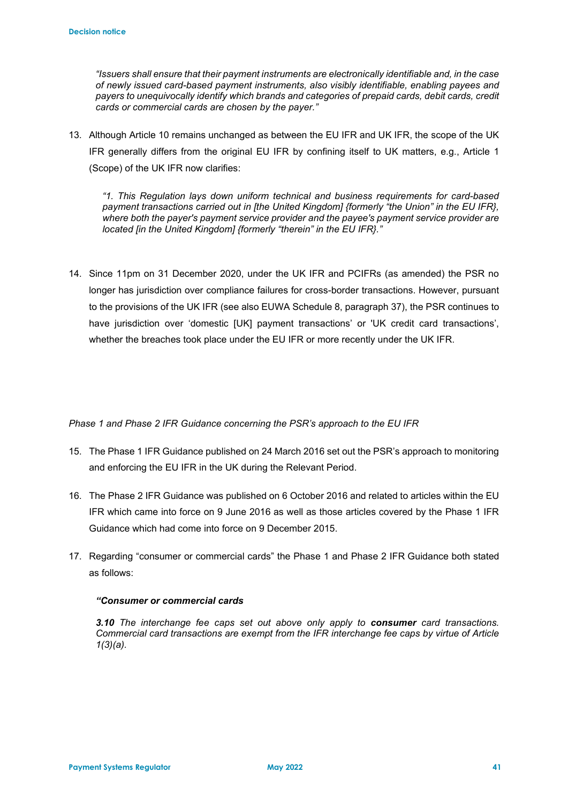*"Issuers shall ensure that their payment instruments are electronically identifiable and, in the case of newly issued card-based payment instruments, also visibly identifiable, enabling payees and payers to unequivocally identify which brands and categories of prepaid cards, debit cards, credit cards or commercial cards are chosen by the payer."*

13. Although Article 10 remains unchanged as between the EU IFR and UK IFR, the scope of the UK IFR generally differs from the original EU IFR by confining itself to UK matters, e.g., Article 1 (Scope) of the UK IFR now clarifies:

*"1. This Regulation lays down uniform technical and business requirements for card-based payment transactions carried out in [the United Kingdom] {formerly "the Union" in the EU IFR}, where both the payer's payment service provider and the payee's payment service provider are located [in the United Kingdom] {formerly "therein" in the EU IFR}."*

14. Since 11pm on 31 December 2020, under the UK IFR and PCIFRs (as amended) the PSR no longer has jurisdiction over compliance failures for cross-border transactions. However, pursuant to the provisions of the UK IFR (see also EUWA Schedule 8, paragraph 37), the PSR continues to have jurisdiction over 'domestic [UK] payment transactions' or 'UK credit card transactions', whether the breaches took place under the EU IFR or more recently under the UK IFR.

*Phase 1 and Phase 2 IFR Guidance concerning the PSR's approach to the EU IFR* 

- 15. The Phase 1 IFR Guidance published on 24 March 2016 set out the PSR's approach to monitoring and enforcing the EU IFR in the UK during the Relevant Period.
- 16. The Phase 2 IFR Guidance was published on 6 October 2016 and related to articles within the EU IFR which came into force on 9 June 2016 as well as those articles covered by the Phase 1 IFR Guidance which had come into force on 9 December 2015.
- 17. Regarding "consumer or commercial cards" the Phase 1 and Phase 2 IFR Guidance both stated as follows:

### *"Consumer or commercial cards*

*3.10 The interchange fee caps set out above only apply to consumer card transactions. Commercial card transactions are exempt from the IFR interchange fee caps by virtue of Article 1(3)(a).*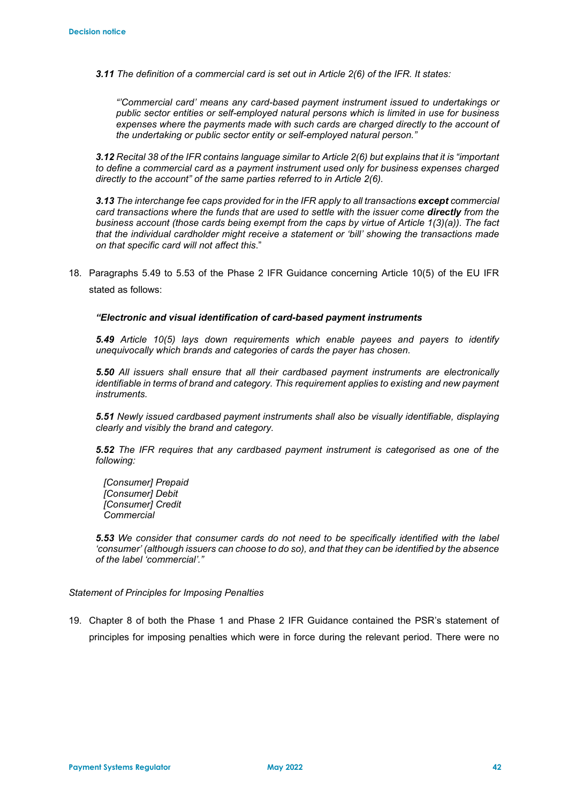*3.11 The definition of a commercial card is set out in Article 2(6) of the IFR. It states:* 

*"'Commercial card' means any card-based payment instrument issued to undertakings or public sector entities or self-employed natural persons which is limited in use for business expenses where the payments made with such cards are charged directly to the account of the undertaking or public sector entity or self-employed natural person."* 

*3.12 Recital 38 of the IFR contains language similar to Article 2(6) but explains that it is "important to define a commercial card as a payment instrument used only for business expenses charged directly to the account" of the same parties referred to in Article 2(6).* 

*3.13 The interchange fee caps provided for in the IFR apply to all transactions except commercial card transactions where the funds that are used to settle with the issuer come directly from the business account (those cards being exempt from the caps by virtue of Article 1(3)(a)). The fact that the individual cardholder might receive a statement or 'bill' showing the transactions made on that specific card will not affect this*."

18. Paragraphs 5.49 to 5.53 of the Phase 2 IFR Guidance concerning Article 10(5) of the EU IFR stated as follows:

#### *"Electronic and visual identification of card-based payment instruments*

*5.49 Article 10(5) lays down requirements which enable payees and payers to identify unequivocally which brands and categories of cards the payer has chosen.*

*5.50 All issuers shall ensure that all their cardbased payment instruments are electronically identifiable in terms of brand and category. This requirement applies to existing and new payment instruments.* 

*5.51 Newly issued cardbased payment instruments shall also be visually identifiable, displaying clearly and visibly the brand and category.* 

*5.52 The IFR requires that any cardbased payment instrument is categorised as one of the following:* 

 *[Consumer] Prepaid [Consumer] Debit [Consumer] Credit Commercial* 

*5.53 We consider that consumer cards do not need to be specifically identified with the label 'consumer' (although issuers can choose to do so), and that they can be identified by the absence of the label 'commercial'."*

#### *Statement of Principles for Imposing Penalties*

19. Chapter 8 of both the Phase 1 and Phase 2 IFR Guidance contained the PSR's statement of principles for imposing penalties which were in force during the relevant period. There were no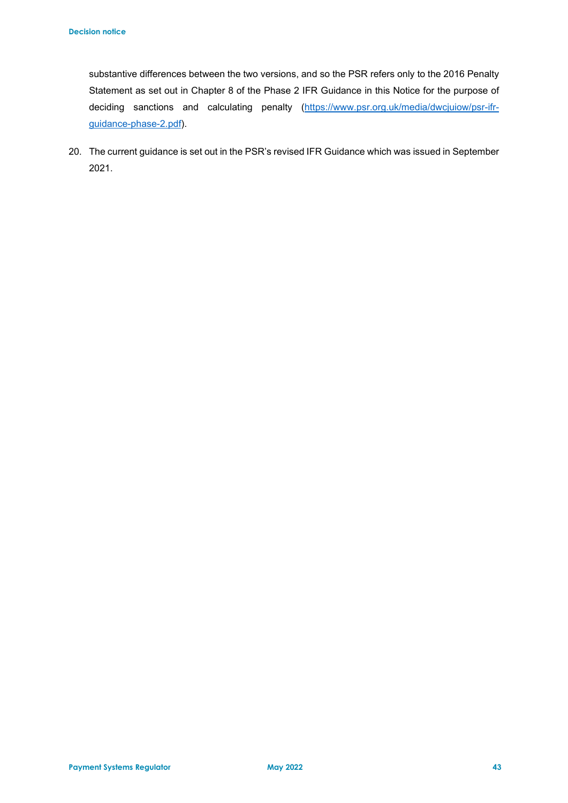substantive differences between the two versions, and so the PSR refers only to the 2016 Penalty Statement as set out in Chapter 8 of the Phase 2 IFR Guidance in this Notice for the purpose of deciding sanctions and calculating penalty [\(https://www.psr.org.uk/media/dwcjuiow/psr-ifr](https://www.psr.org.uk/media/dwcjuiow/psr-ifr-guidance-phase-2.pdf)[guidance-phase-2.pdf\)](https://www.psr.org.uk/media/dwcjuiow/psr-ifr-guidance-phase-2.pdf).

20. The current guidance is set out in the PSR's revised IFR Guidance which was issued in September 2021.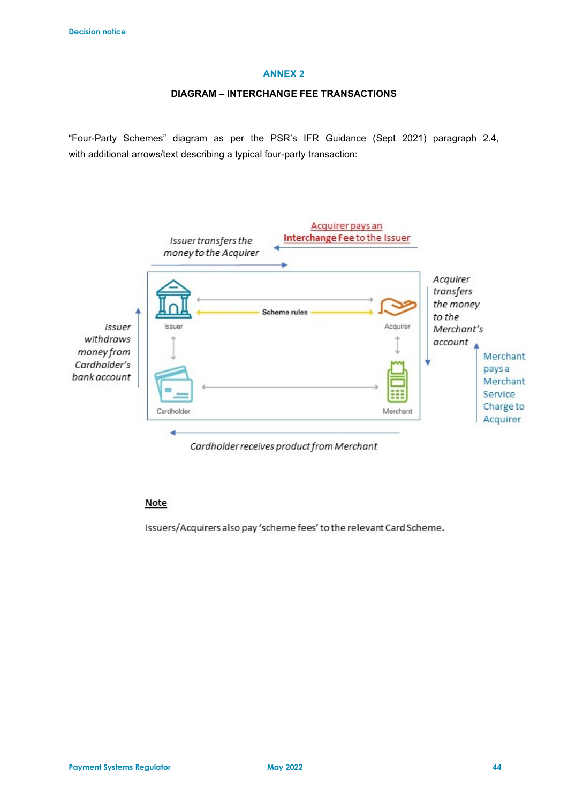#### **ANNEX 2**

#### **DIAGRAM – INTERCHANGE FEE TRANSACTIONS**

"Four-Party Schemes" diagram as per the PSR's IFR Guidance (Sept 2021) paragraph 2.4, with additional arrows/text describing a typical four-party transaction:



Cardholder receives product from Merchant

#### Note

Issuers/Acquirers also pay 'scheme fees' to the relevant Card Scheme.